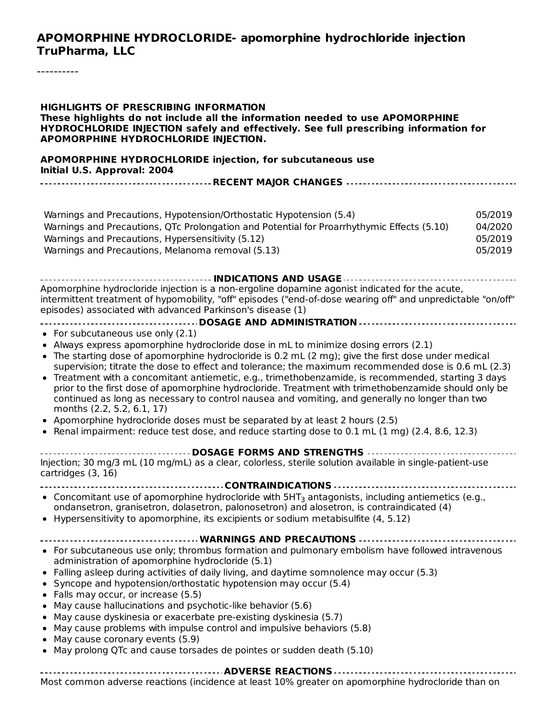#### **APOMORPHINE HYDROCLORIDE- apomorphine hydrochloride injection TruPharma, LLC**

**HIGHLIGHTS OF PRESCRIBING INFORMATION These highlights do not include all the information needed to use APOMORPHINE HYDROCHLORIDE INJECTION safely and effectively. See full prescribing information for APOMORPHINE HYDROCHLORIDE INJECTION. APOMORPHINE HYDROCHLORIDE injection, for subcutaneous use Initial U.S. Approval: 2004 RECENT MAJOR CHANGES** Warnings and Precautions, Hypotension/Orthostatic Hypotension (5.4) 05/2019 Warnings and Precautions, QTc Prolongation and Potential for Proarrhythymic Effects (5.10) 04/2020 Warnings and Precautions, Hypersensitivity (5.12) 05/2019 Warnings and Precautions, Melanoma removal (5.13) 05/2019 **INDICATIONS AND USAGE** Apomorphine hydrocloride injection is a non-ergoline dopamine agonist indicated for the acute, intermittent treatment of hypomobility, "off" episodes ("end-of-dose wearing off" and unpredictable "on/off" episodes) associated with advanced Parkinson's disease (1) **DOSAGE AND ADMINISTRATION** • For subcutaneous use only (2.1) Always express apomorphine hydrocloride dose in mL to minimize dosing errors (2.1) The starting dose of apomorphine hydrocloride is 0.2 mL (2 mg); give the first dose under medical supervision; titrate the dose to effect and tolerance; the maximum recommended dose is 0.6 mL (2.3) Treatment with a concomitant antiemetic, e.g., trimethobenzamide, is recommended, starting 3 days prior to the first dose of apomorphine hydrocloride. Treatment with trimethobenzamide should only be continued as long as necessary to control nausea and vomiting, and generally no longer than two months (2.2, 5.2, 6.1, 17) Apomorphine hydrocloride doses must be separated by at least 2 hours (2.5) Renal impairment: reduce test dose, and reduce starting dose to 0.1 mL (1 mg) (2.4, 8.6, 12.3) **DOSAGE FORMS AND STRENGTHS** Injection; 30 mg/3 mL (10 mg/mL) as a clear, colorless, sterile solution available in single-patient-use cartridges (3, 16) **CONTRAINDICATIONS**  $\bullet$ Concomitant use of apomorphine hydrocloride with  $5HT_3$  antagonists, including antiemetics (e.g., ondansetron, granisetron, dolasetron, palonosetron) and alosetron, is contraindicated (4) Hypersensitivity to apomorphine, its excipients or sodium metabisulfite (4, 5.12) **WARNINGS AND PRECAUTIONS** For subcutaneous use only; thrombus formation and pulmonary embolism have followed intravenous administration of apomorphine hydrocloride (5.1) Falling asleep during activities of daily living, and daytime somnolence may occur (5.3) Syncope and hypotension/orthostatic hypotension may occur (5.4) Falls may occur, or increase (5.5)  $\bullet$ May cause hallucinations and psychotic-like behavior (5.6)  $\bullet$ May cause dyskinesia or exacerbate pre-existing dyskinesia (5.7) May cause problems with impulse control and impulsive behaviors (5.8)  $\bullet$ May cause coronary events (5.9)  $\bullet$ May prolong QTc and cause torsades de pointes or sudden death (5.10) **ADVERSE REACTIONS** Most common adverse reactions (incidence at least 10% greater on apomorphine hydrocloride than on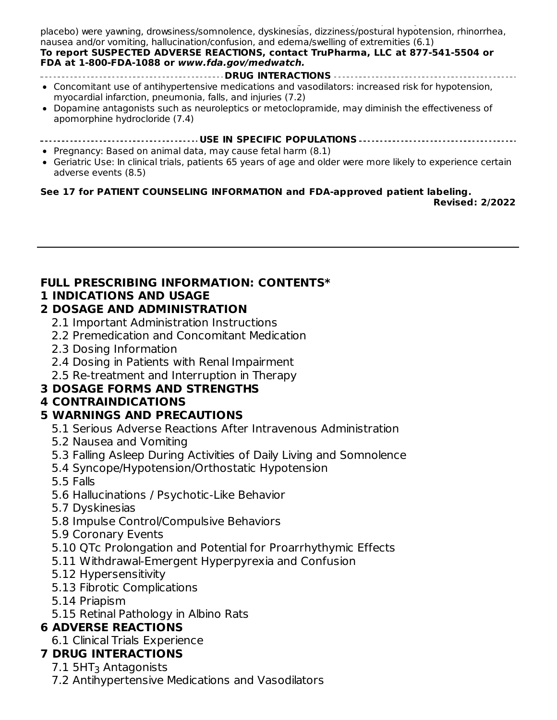Most common adverse reactions (incidence at least 10% greater on apoint  $\mathcal{L}$ placebo) were yawning, drowsiness/somnolence, dyskinesias, dizziness/postural hypotension, rhinorrhea, nausea and/or vomiting, hallucination/confusion, and edema/swelling of extremities (6.1)

#### **To report SUSPECTED ADVERSE REACTIONS, contact TruPharma, LLC at 877-541-5504 or FDA at 1-800-FDA-1088 or www.fda.gov/medwatch.**

- **DRUG INTERACTIONS**
- Concomitant use of antihypertensive medications and vasodilators: increased risk for hypotension, myocardial infarction, pneumonia, falls, and injuries (7.2)
- Dopamine antagonists such as neuroleptics or metoclopramide, may diminish the effectiveness of apomorphine hydrocloride (7.4)
- **USE IN SPECIFIC POPULATIONS**
- Pregnancy: Based on animal data, may cause fetal harm (8.1)
- Geriatric Use: In clinical trials, patients 65 years of age and older were more likely to experience certain adverse events (8.5)

#### **See 17 for PATIENT COUNSELING INFORMATION and FDA-approved patient labeling.**

**Revised: 2/2022**

### **FULL PRESCRIBING INFORMATION: CONTENTS\***

#### **1 INDICATIONS AND USAGE**

### **2 DOSAGE AND ADMINISTRATION**

- 2.1 Important Administration Instructions
- 2.2 Premedication and Concomitant Medication
- 2.3 Dosing Information
- 2.4 Dosing in Patients with Renal Impairment
- 2.5 Re-treatment and Interruption in Therapy

### **3 DOSAGE FORMS AND STRENGTHS**

### **4 CONTRAINDICATIONS**

### **5 WARNINGS AND PRECAUTIONS**

- 5.1 Serious Adverse Reactions After Intravenous Administration
- 5.2 Nausea and Vomiting
- 5.3 Falling Asleep During Activities of Daily Living and Somnolence
- 5.4 Syncope/Hypotension/Orthostatic Hypotension
- 5.5 Falls
- 5.6 Hallucinations / Psychotic-Like Behavior
- 5.7 Dyskinesias
- 5.8 Impulse Control/Compulsive Behaviors
- 5.9 Coronary Events
- 5.10 QTc Prolongation and Potential for Proarrhythymic Effects
- 5.11 Withdrawal-Emergent Hyperpyrexia and Confusion
- 5.12 Hypersensitivity
- 5.13 Fibrotic Complications
- 5.14 Priapism
- 5.15 Retinal Pathology in Albino Rats

### **6 ADVERSE REACTIONS**

6.1 Clinical Trials Experience

### **7 DRUG INTERACTIONS**

- $7.1\,$  5HT $_3$  Antagonists
- 7.2 Antihypertensive Medications and Vasodilators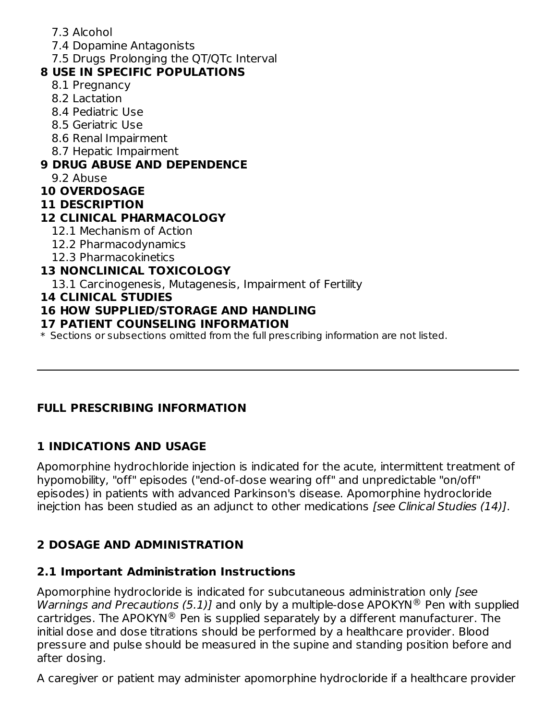- 7.3 Alcohol
- 7.4 Dopamine Antagonists
- 7.5 Drugs Prolonging the QT/QTc Interval

# **8 USE IN SPECIFIC POPULATIONS**

- 8.1 Pregnancy
- 8.2 Lactation
- 8.4 Pediatric Use
- 8.5 Geriatric Use
- 8.6 Renal Impairment
- 8.7 Hepatic Impairment

# **9 DRUG ABUSE AND DEPENDENCE**

9.2 Abuse

# **10 OVERDOSAGE**

# **11 DESCRIPTION**

# **12 CLINICAL PHARMACOLOGY**

- 12.1 Mechanism of Action
- 12.2 Pharmacodynamics
- 12.3 Pharmacokinetics

# **13 NONCLINICAL TOXICOLOGY**

13.1 Carcinogenesis, Mutagenesis, Impairment of Fertility

### **14 CLINICAL STUDIES**

# **16 HOW SUPPLIED/STORAGE AND HANDLING**

# **17 PATIENT COUNSELING INFORMATION**

\* Sections or subsections omitted from the full prescribing information are not listed.

# **FULL PRESCRIBING INFORMATION**

# **1 INDICATIONS AND USAGE**

Apomorphine hydrochloride injection is indicated for the acute, intermittent treatment of hypomobility, "off" episodes ("end-of-dose wearing off" and unpredictable "on/off" episodes) in patients with advanced Parkinson's disease. Apomorphine hydrocloride inejction has been studied as an adjunct to other medications [see Clinical Studies (14)].

# **2 DOSAGE AND ADMINISTRATION**

# **2.1 Important Administration Instructions**

Apomorphine hydrocloride is indicated for subcutaneous administration only [see Warnings and Precautions (5.1)] and only by a multiple-dose APOKYN® Pen with supplied cartridges. The APOKYN® Pen is supplied separately by a different manufacturer. The initial dose and dose titrations should be performed by a healthcare provider. Blood pressure and pulse should be measured in the supine and standing position before and after dosing.

A caregiver or patient may administer apomorphine hydrocloride if a healthcare provider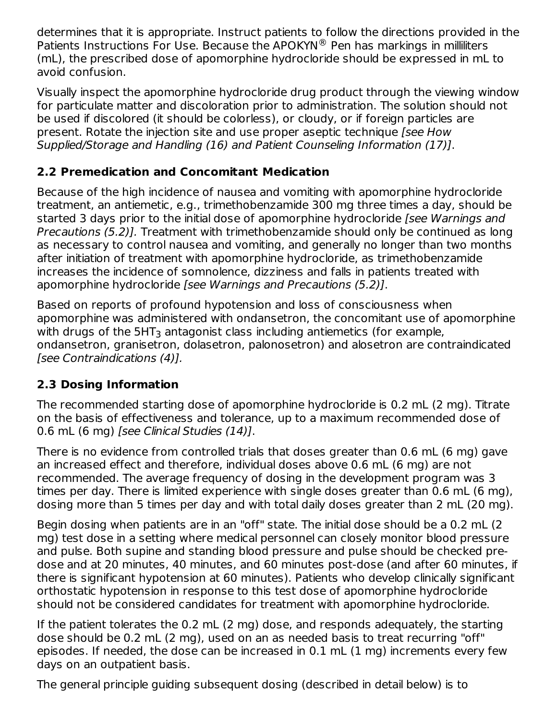determines that it is appropriate. Instruct patients to follow the directions provided in the Patients Instructions For Use. Because the APOKYN® Pen has markings in milliliters (mL), the prescribed dose of apomorphine hydrocloride should be expressed in mL to avoid confusion.

Visually inspect the apomorphine hydrocloride drug product through the viewing window for particulate matter and discoloration prior to administration. The solution should not be used if discolored (it should be colorless), or cloudy, or if foreign particles are present. Rotate the injection site and use proper aseptic technique [see How Supplied/Storage and Handling (16) and Patient Counseling Information (17)].

# **2.2 Premedication and Concomitant Medication**

Because of the high incidence of nausea and vomiting with apomorphine hydrocloride treatment, an antiemetic, e.g., trimethobenzamide 300 mg three times a day, should be started 3 days prior to the initial dose of apomorphine hydrocloride [see Warnings and Precautions (5.2)]. Treatment with trimethobenzamide should only be continued as long as necessary to control nausea and vomiting, and generally no longer than two months after initiation of treatment with apomorphine hydrocloride, as trimethobenzamide increases the incidence of somnolence, dizziness and falls in patients treated with apomorphine hydrocloride [see Warnings and Precautions (5.2)].

Based on reports of profound hypotension and loss of consciousness when apomorphine was administered with ondansetron, the concomitant use of apomorphine with drugs of the 5HT $_3$  antagonist class including antiemetics (for example, ondansetron, granisetron, dolasetron, palonosetron) and alosetron are contraindicated [see Contraindications (4)].

# **2.3 Dosing Information**

The recommended starting dose of apomorphine hydrocloride is 0.2 mL (2 mg). Titrate on the basis of effectiveness and tolerance, up to a maximum recommended dose of 0.6 mL (6 mg) [see Clinical Studies (14)].

There is no evidence from controlled trials that doses greater than 0.6 mL (6 mg) gave an increased effect and therefore, individual doses above 0.6 mL (6 mg) are not recommended. The average frequency of dosing in the development program was 3 times per day. There is limited experience with single doses greater than 0.6 mL (6 mg), dosing more than 5 times per day and with total daily doses greater than 2 mL (20 mg).

Begin dosing when patients are in an "off" state. The initial dose should be a 0.2 mL (2 mg) test dose in a setting where medical personnel can closely monitor blood pressure and pulse. Both supine and standing blood pressure and pulse should be checked predose and at 20 minutes, 40 minutes, and 60 minutes post-dose (and after 60 minutes, if there is significant hypotension at 60 minutes). Patients who develop clinically significant orthostatic hypotension in response to this test dose of apomorphine hydrocloride should not be considered candidates for treatment with apomorphine hydrocloride.

If the patient tolerates the 0.2 mL (2 mg) dose, and responds adequately, the starting dose should be 0.2 mL (2 mg), used on an as needed basis to treat recurring "off" episodes. If needed, the dose can be increased in 0.1 mL (1 mg) increments every few days on an outpatient basis.

The general principle guiding subsequent dosing (described in detail below) is to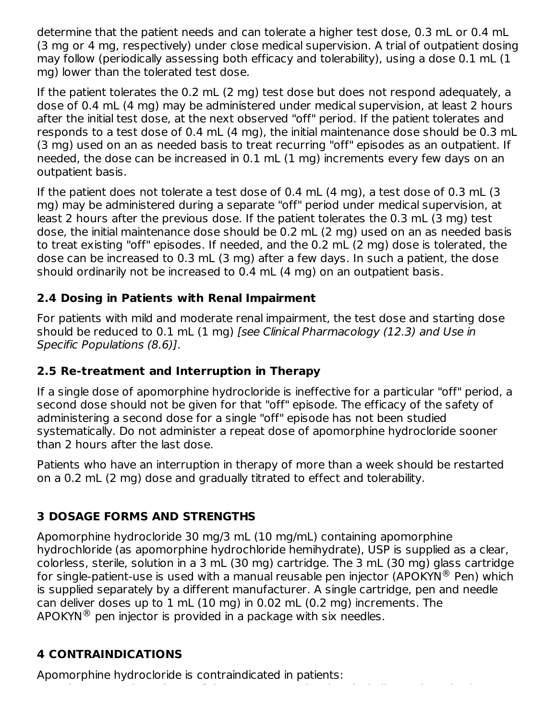determine that the patient needs and can tolerate a higher test dose, 0.3 mL or 0.4 mL (3 mg or 4 mg, respectively) under close medical supervision. A trial of outpatient dosing may follow (periodically assessing both efficacy and tolerability), using a dose 0.1 mL (1 mg) lower than the tolerated test dose.

If the patient tolerates the 0.2 mL (2 mg) test dose but does not respond adequately, a dose of 0.4 mL (4 mg) may be administered under medical supervision, at least 2 hours after the initial test dose, at the next observed "off" period. If the patient tolerates and responds to a test dose of 0.4 mL (4 mg), the initial maintenance dose should be 0.3 mL (3 mg) used on an as needed basis to treat recurring "off" episodes as an outpatient. If needed, the dose can be increased in 0.1 mL (1 mg) increments every few days on an outpatient basis.

If the patient does not tolerate a test dose of 0.4 mL (4 mg), a test dose of 0.3 mL (3 mg) may be administered during a separate "off" period under medical supervision, at least 2 hours after the previous dose. If the patient tolerates the 0.3 mL (3 mg) test dose, the initial maintenance dose should be 0.2 mL (2 mg) used on an as needed basis to treat existing "off" episodes. If needed, and the 0.2 mL (2 mg) dose is tolerated, the dose can be increased to 0.3 mL (3 mg) after a few days. In such a patient, the dose should ordinarily not be increased to 0.4 mL (4 mg) on an outpatient basis.

# **2.4 Dosing in Patients with Renal Impairment**

For patients with mild and moderate renal impairment, the test dose and starting dose should be reduced to 0.1 mL (1 mg) [see Clinical Pharmacology (12.3) and Use in Specific Populations (8.6)].

# **2.5 Re-treatment and Interruption in Therapy**

If a single dose of apomorphine hydrocloride is ineffective for a particular "off" period, a second dose should not be given for that "off" episode. The efficacy of the safety of administering a second dose for a single "off" episode has not been studied systematically. Do not administer a repeat dose of apomorphine hydrocloride sooner than 2 hours after the last dose.

Patients who have an interruption in therapy of more than a week should be restarted on a 0.2 mL (2 mg) dose and gradually titrated to effect and tolerability.

# **3 DOSAGE FORMS AND STRENGTHS**

Apomorphine hydrocloride 30 mg/3 mL (10 mg/mL) containing apomorphine hydrochloride (as apomorphine hydrochloride hemihydrate), USP is supplied as a clear, colorless, sterile, solution in a 3 mL (30 mg) cartridge. The 3 mL (30 mg) glass cartridge for single-patient-use is used with a manual reusable pen injector (APOKYN $^{\circledR}$  Pen) which is supplied separately by a different manufacturer. A single cartridge, pen and needle can deliver doses up to 1 mL (10 mg) in 0.02 mL (0.2 mg) increments. The  $APOKYN^{\circledR}$  pen injector is provided in a package with six needles.

Using concomitant drugs of the 5HT antagonist class including antiemetics (e.g.,

# **4 CONTRAINDICATIONS**

Apomorphine hydrocloride is contraindicated in patients: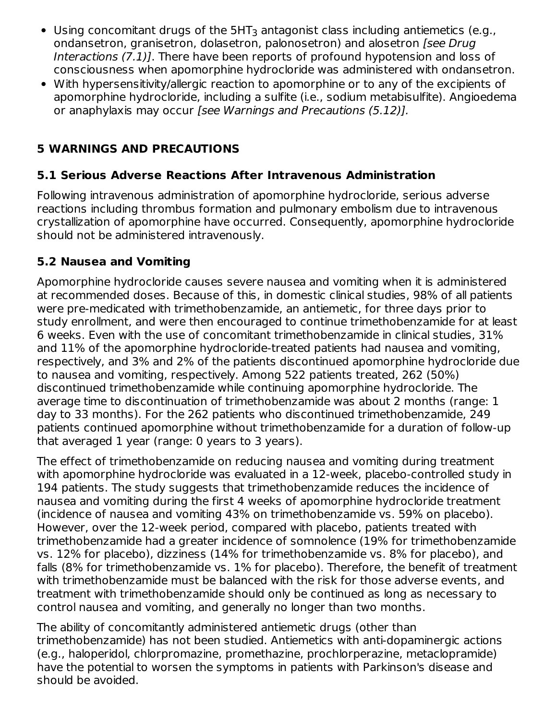- Using concomitant drugs of the  $5HT_3$  antagonist class including antiemetics (e.g., ondansetron, granisetron, dolasetron, palonosetron) and alosetron [see Drug Interactions (7.1)]. There have been reports of profound hypotension and loss of consciousness when apomorphine hydrocloride was administered with ondansetron.
- With hypersensitivity/allergic reaction to apomorphine or to any of the excipients of apomorphine hydrocloride, including a sulfite (i.e., sodium metabisulfite). Angioedema or anaphylaxis may occur [see Warnings and Precautions (5.12)].

# **5 WARNINGS AND PRECAUTIONS**

### **5.1 Serious Adverse Reactions After Intravenous Administration**

Following intravenous administration of apomorphine hydrocloride, serious adverse reactions including thrombus formation and pulmonary embolism due to intravenous crystallization of apomorphine have occurred. Consequently, apomorphine hydrocloride should not be administered intravenously.

### **5.2 Nausea and Vomiting**

Apomorphine hydrocloride causes severe nausea and vomiting when it is administered at recommended doses. Because of this, in domestic clinical studies, 98% of all patients were pre-medicated with trimethobenzamide, an antiemetic, for three days prior to study enrollment, and were then encouraged to continue trimethobenzamide for at least 6 weeks. Even with the use of concomitant trimethobenzamide in clinical studies, 31% and 11% of the apomorphine hydrocloride-treated patients had nausea and vomiting, respectively, and 3% and 2% of the patients discontinued apomorphine hydrocloride due to nausea and vomiting, respectively. Among 522 patients treated, 262 (50%) discontinued trimethobenzamide while continuing apomorphine hydrocloride. The average time to discontinuation of trimethobenzamide was about 2 months (range: 1 day to 33 months). For the 262 patients who discontinued trimethobenzamide, 249 patients continued apomorphine without trimethobenzamide for a duration of follow-up that averaged 1 year (range: 0 years to 3 years).

The effect of trimethobenzamide on reducing nausea and vomiting during treatment with apomorphine hydrocloride was evaluated in a 12-week, placebo-controlled study in 194 patients. The study suggests that trimethobenzamide reduces the incidence of nausea and vomiting during the first 4 weeks of apomorphine hydrocloride treatment (incidence of nausea and vomiting 43% on trimethobenzamide vs. 59% on placebo). However, over the 12-week period, compared with placebo, patients treated with trimethobenzamide had a greater incidence of somnolence (19% for trimethobenzamide vs. 12% for placebo), dizziness (14% for trimethobenzamide vs. 8% for placebo), and falls (8% for trimethobenzamide vs. 1% for placebo). Therefore, the benefit of treatment with trimethobenzamide must be balanced with the risk for those adverse events, and treatment with trimethobenzamide should only be continued as long as necessary to control nausea and vomiting, and generally no longer than two months.

The ability of concomitantly administered antiemetic drugs (other than trimethobenzamide) has not been studied. Antiemetics with anti-dopaminergic actions (e.g., haloperidol, chlorpromazine, promethazine, prochlorperazine, metaclopramide) have the potential to worsen the symptoms in patients with Parkinson's disease and should be avoided.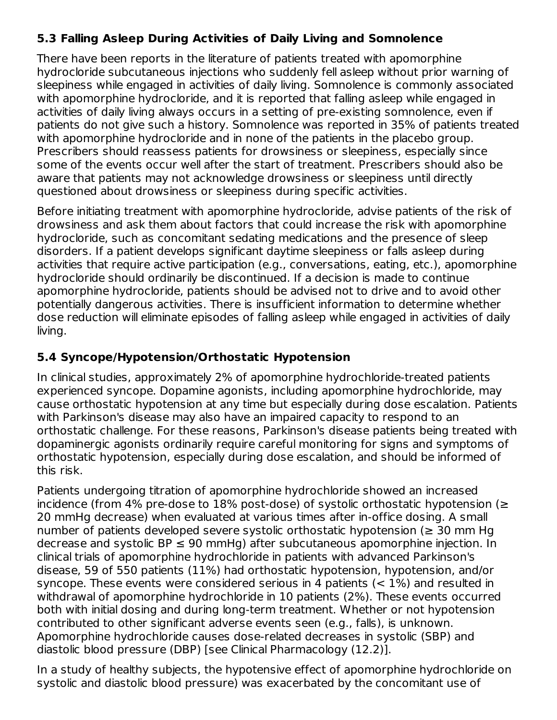### **5.3 Falling Asleep During Activities of Daily Living and Somnolence**

There have been reports in the literature of patients treated with apomorphine hydrocloride subcutaneous injections who suddenly fell asleep without prior warning of sleepiness while engaged in activities of daily living. Somnolence is commonly associated with apomorphine hydrocloride, and it is reported that falling asleep while engaged in activities of daily living always occurs in a setting of pre-existing somnolence, even if patients do not give such a history. Somnolence was reported in 35% of patients treated with apomorphine hydrocloride and in none of the patients in the placebo group. Prescribers should reassess patients for drowsiness or sleepiness, especially since some of the events occur well after the start of treatment. Prescribers should also be aware that patients may not acknowledge drowsiness or sleepiness until directly questioned about drowsiness or sleepiness during specific activities.

Before initiating treatment with apomorphine hydrocloride, advise patients of the risk of drowsiness and ask them about factors that could increase the risk with apomorphine hydrocloride, such as concomitant sedating medications and the presence of sleep disorders. If a patient develops significant daytime sleepiness or falls asleep during activities that require active participation (e.g., conversations, eating, etc.), apomorphine hydrocloride should ordinarily be discontinued. If a decision is made to continue apomorphine hydrocloride, patients should be advised not to drive and to avoid other potentially dangerous activities. There is insufficient information to determine whether dose reduction will eliminate episodes of falling asleep while engaged in activities of daily living.

### **5.4 Syncope/Hypotension/Orthostatic Hypotension**

In clinical studies, approximately 2% of apomorphine hydrochloride-treated patients experienced syncope. Dopamine agonists, including apomorphine hydrochloride, may cause orthostatic hypotension at any time but especially during dose escalation. Patients with Parkinson's disease may also have an impaired capacity to respond to an orthostatic challenge. For these reasons, Parkinson's disease patients being treated with dopaminergic agonists ordinarily require careful monitoring for signs and symptoms of orthostatic hypotension, especially during dose escalation, and should be informed of this risk.

Patients undergoing titration of apomorphine hydrochloride showed an increased incidence (from 4% pre-dose to 18% post-dose) of systolic orthostatic hypotension (≥ 20 mmHg decrease) when evaluated at various times after in-office dosing. A small number of patients developed severe systolic orthostatic hypotension ( $\geq$  30 mm Hg decrease and systolic  $BP \leq 90$  mmHg) after subcutaneous apomorphine injection. In clinical trials of apomorphine hydrochloride in patients with advanced Parkinson's disease, 59 of 550 patients (11%) had orthostatic hypotension, hypotension, and/or syncope. These events were considered serious in 4 patients  $(< 1\%)$  and resulted in withdrawal of apomorphine hydrochloride in 10 patients (2%). These events occurred both with initial dosing and during long-term treatment. Whether or not hypotension contributed to other significant adverse events seen (e.g., falls), is unknown. Apomorphine hydrochloride causes dose-related decreases in systolic (SBP) and diastolic blood pressure (DBP) [see Clinical Pharmacology (12.2)].

In a study of healthy subjects, the hypotensive effect of apomorphine hydrochloride on systolic and diastolic blood pressure) was exacerbated by the concomitant use of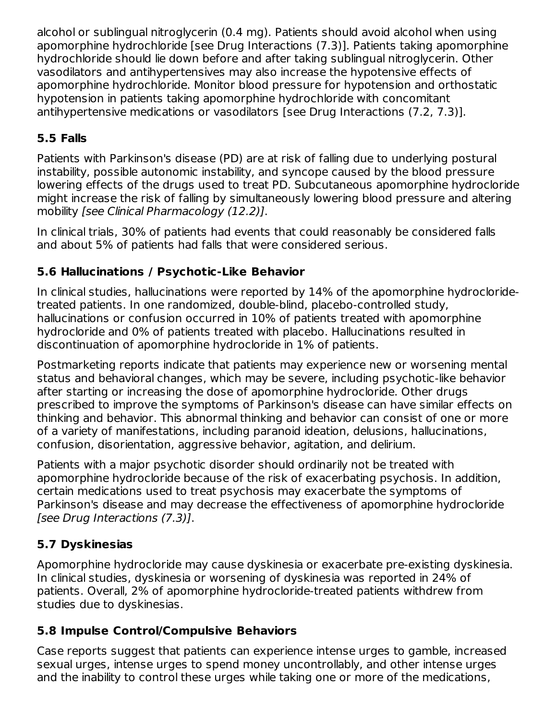alcohol or sublingual nitroglycerin (0.4 mg). Patients should avoid alcohol when using apomorphine hydrochloride [see Drug Interactions (7.3)]. Patients taking apomorphine hydrochloride should lie down before and after taking sublingual nitroglycerin. Other vasodilators and antihypertensives may also increase the hypotensive effects of apomorphine hydrochloride. Monitor blood pressure for hypotension and orthostatic hypotension in patients taking apomorphine hydrochloride with concomitant antihypertensive medications or vasodilators [see Drug Interactions (7.2, 7.3)].

# **5.5 Falls**

Patients with Parkinson's disease (PD) are at risk of falling due to underlying postural instability, possible autonomic instability, and syncope caused by the blood pressure lowering effects of the drugs used to treat PD. Subcutaneous apomorphine hydrocloride might increase the risk of falling by simultaneously lowering blood pressure and altering mobility [see Clinical Pharmacology (12.2)].

In clinical trials, 30% of patients had events that could reasonably be considered falls and about 5% of patients had falls that were considered serious.

# **5.6 Hallucinations / Psychotic-Like Behavior**

In clinical studies, hallucinations were reported by 14% of the apomorphine hydrocloridetreated patients. In one randomized, double-blind, placebo-controlled study, hallucinations or confusion occurred in 10% of patients treated with apomorphine hydrocloride and 0% of patients treated with placebo. Hallucinations resulted in discontinuation of apomorphine hydrocloride in 1% of patients.

Postmarketing reports indicate that patients may experience new or worsening mental status and behavioral changes, which may be severe, including psychotic-like behavior after starting or increasing the dose of apomorphine hydrocloride. Other drugs prescribed to improve the symptoms of Parkinson's disease can have similar effects on thinking and behavior. This abnormal thinking and behavior can consist of one or more of a variety of manifestations, including paranoid ideation, delusions, hallucinations, confusion, disorientation, aggressive behavior, agitation, and delirium.

Patients with a major psychotic disorder should ordinarily not be treated with apomorphine hydrocloride because of the risk of exacerbating psychosis. In addition, certain medications used to treat psychosis may exacerbate the symptoms of Parkinson's disease and may decrease the effectiveness of apomorphine hydrocloride [see Drug Interactions (7.3)].

# **5.7 Dyskinesias**

Apomorphine hydrocloride may cause dyskinesia or exacerbate pre-existing dyskinesia. In clinical studies, dyskinesia or worsening of dyskinesia was reported in 24% of patients. Overall, 2% of apomorphine hydrocloride-treated patients withdrew from studies due to dyskinesias.

# **5.8 Impulse Control/Compulsive Behaviors**

Case reports suggest that patients can experience intense urges to gamble, increased sexual urges, intense urges to spend money uncontrollably, and other intense urges and the inability to control these urges while taking one or more of the medications,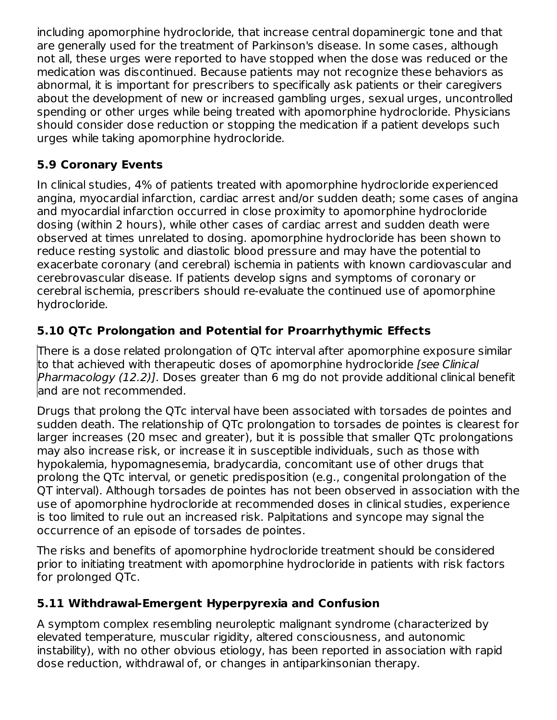including apomorphine hydrocloride, that increase central dopaminergic tone and that are generally used for the treatment of Parkinson's disease. In some cases, although not all, these urges were reported to have stopped when the dose was reduced or the medication was discontinued. Because patients may not recognize these behaviors as abnormal, it is important for prescribers to specifically ask patients or their caregivers about the development of new or increased gambling urges, sexual urges, uncontrolled spending or other urges while being treated with apomorphine hydrocloride. Physicians should consider dose reduction or stopping the medication if a patient develops such urges while taking apomorphine hydrocloride.

# **5.9 Coronary Events**

In clinical studies, 4% of patients treated with apomorphine hydrocloride experienced angina, myocardial infarction, cardiac arrest and/or sudden death; some cases of angina and myocardial infarction occurred in close proximity to apomorphine hydrocloride dosing (within 2 hours), while other cases of cardiac arrest and sudden death were observed at times unrelated to dosing. apomorphine hydrocloride has been shown to reduce resting systolic and diastolic blood pressure and may have the potential to exacerbate coronary (and cerebral) ischemia in patients with known cardiovascular and cerebrovascular disease. If patients develop signs and symptoms of coronary or cerebral ischemia, prescribers should re-evaluate the continued use of apomorphine hydrocloride.

# **5.10 QTc Prolongation and Potential for Proarrhythymic Effects**

There is a dose related prolongation of QTc interval after apomorphine exposure similar to that achieved with therapeutic doses of apomorphine hydrocloride [see Clinical Pharmacology (12.2)]. Doses greater than 6 mg do not provide additional clinical benefit and are not recommended.

Drugs that prolong the QTc interval have been associated with torsades de pointes and sudden death. The relationship of QTc prolongation to torsades de pointes is clearest for larger increases (20 msec and greater), but it is possible that smaller QTc prolongations may also increase risk, or increase it in susceptible individuals, such as those with hypokalemia, hypomagnesemia, bradycardia, concomitant use of other drugs that prolong the QTc interval, or genetic predisposition (e.g., congenital prolongation of the QT interval). Although torsades de pointes has not been observed in association with the use of apomorphine hydrocloride at recommended doses in clinical studies, experience is too limited to rule out an increased risk. Palpitations and syncope may signal the occurrence of an episode of torsades de pointes.

The risks and benefits of apomorphine hydrocloride treatment should be considered prior to initiating treatment with apomorphine hydrocloride in patients with risk factors for prolonged QTc.

# **5.11 Withdrawal-Emergent Hyperpyrexia and Confusion**

A symptom complex resembling neuroleptic malignant syndrome (characterized by elevated temperature, muscular rigidity, altered consciousness, and autonomic instability), with no other obvious etiology, has been reported in association with rapid dose reduction, withdrawal of, or changes in antiparkinsonian therapy.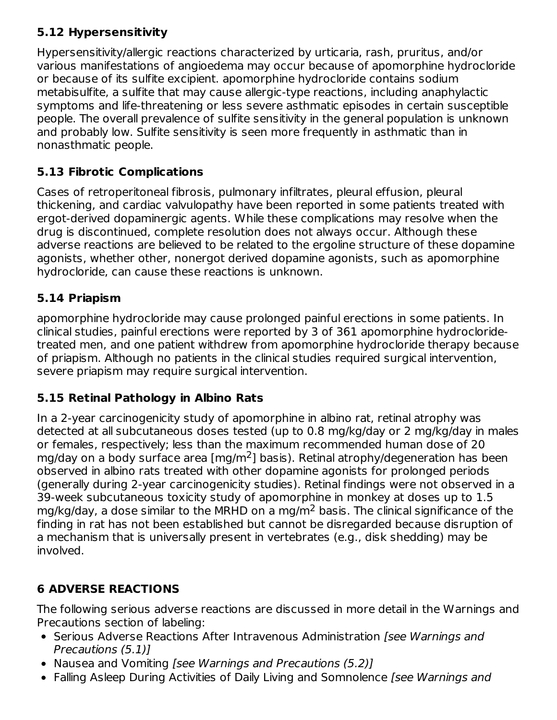# **5.12 Hypersensitivity**

Hypersensitivity/allergic reactions characterized by urticaria, rash, pruritus, and/or various manifestations of angioedema may occur because of apomorphine hydrocloride or because of its sulfite excipient. apomorphine hydrocloride contains sodium metabisulfite, a sulfite that may cause allergic-type reactions, including anaphylactic symptoms and life-threatening or less severe asthmatic episodes in certain susceptible people. The overall prevalence of sulfite sensitivity in the general population is unknown and probably low. Sulfite sensitivity is seen more frequently in asthmatic than in nonasthmatic people.

### **5.13 Fibrotic Complications**

Cases of retroperitoneal fibrosis, pulmonary infiltrates, pleural effusion, pleural thickening, and cardiac valvulopathy have been reported in some patients treated with ergot-derived dopaminergic agents. While these complications may resolve when the drug is discontinued, complete resolution does not always occur. Although these adverse reactions are believed to be related to the ergoline structure of these dopamine agonists, whether other, nonergot derived dopamine agonists, such as apomorphine hydrocloride, can cause these reactions is unknown.

# **5.14 Priapism**

apomorphine hydrocloride may cause prolonged painful erections in some patients. In clinical studies, painful erections were reported by 3 of 361 apomorphine hydrocloridetreated men, and one patient withdrew from apomorphine hydrocloride therapy because of priapism. Although no patients in the clinical studies required surgical intervention, severe priapism may require surgical intervention.

# **5.15 Retinal Pathology in Albino Rats**

In a 2-year carcinogenicity study of apomorphine in albino rat, retinal atrophy was detected at all subcutaneous doses tested (up to 0.8 mg/kg/day or 2 mg/kg/day in males or females, respectively; less than the maximum recommended human dose of 20 mg/day on a body surface area [mg/m<sup>2</sup>] basis). Retinal atrophy/degeneration has been observed in albino rats treated with other dopamine agonists for prolonged periods (generally during 2-year carcinogenicity studies). Retinal findings were not observed in a 39-week subcutaneous toxicity study of apomorphine in monkey at doses up to 1.5 mg/kg/day, a dose similar to the MRHD on a mg/m $^2$  basis. The clinical significance of the finding in rat has not been established but cannot be disregarded because disruption of a mechanism that is universally present in vertebrates (e.g., disk shedding) may be involved.

# **6 ADVERSE REACTIONS**

The following serious adverse reactions are discussed in more detail in the Warnings and Precautions section of labeling:

- Serious Adverse Reactions After Intravenous Administration [see Warnings and Precautions (5.1)]
- Nausea and Vomiting [see Warnings and Precautions (5.2)]
- Falling Asleep During Activities of Daily Living and Somnolence [see Warnings and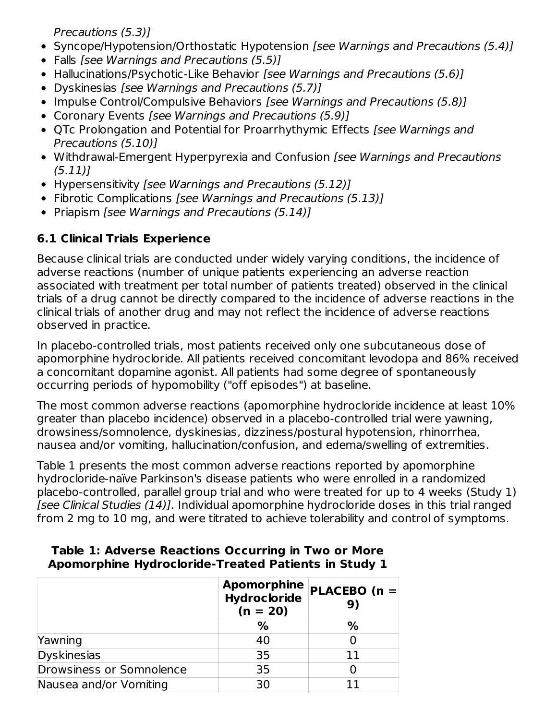Precautions (5.3)]

- Syncope/Hypotension/Orthostatic Hypotension [see Warnings and Precautions (5.4)]
- Falls [see Warnings and Precautions (5.5)]
- Hallucinations/Psychotic-Like Behavior [see Warnings and Precautions (5.6)]
- Dyskinesias [see Warnings and Precautions (5.7)]
- Impulse Control/Compulsive Behaviors [see Warnings and Precautions (5.8)]
- Coronary Events [see Warnings and Precautions (5.9)]
- QTc Prolongation and Potential for Proarrhythymic Effects [see Warnings and Precautions (5.10)]
- Withdrawal-Emergent Hyperpyrexia and Confusion [see Warnings and Precautions  $(5.11)$
- Hypersensitivity [see Warnings and Precautions (5.12)]
- Fibrotic Complications [see Warnings and Precautions (5.13)]
- Priapism [see Warnings and Precautions  $(5.14)$ ]

# **6.1 Clinical Trials Experience**

Because clinical trials are conducted under widely varying conditions, the incidence of adverse reactions (number of unique patients experiencing an adverse reaction associated with treatment per total number of patients treated) observed in the clinical trials of a drug cannot be directly compared to the incidence of adverse reactions in the clinical trials of another drug and may not reflect the incidence of adverse reactions observed in practice.

In placebo-controlled trials, most patients received only one subcutaneous dose of apomorphine hydrocloride. All patients received concomitant levodopa and 86% received a concomitant dopamine agonist. All patients had some degree of spontaneously occurring periods of hypomobility ("off episodes") at baseline.

The most common adverse reactions (apomorphine hydrocloride incidence at least 10% greater than placebo incidence) observed in a placebo-controlled trial were yawning, drowsiness/somnolence, dyskinesias, dizziness/postural hypotension, rhinorrhea, nausea and/or vomiting, hallucination/confusion, and edema/swelling of extremities.

Table 1 presents the most common adverse reactions reported by apomorphine hydrocloride-naïve Parkinson's disease patients who were enrolled in a randomized placebo-controlled, parallel group trial and who were treated for up to 4 weeks (Study 1) [see Clinical Studies (14)]. Individual apomorphine hydrocloride doses in this trial ranged from 2 mg to 10 mg, and were titrated to achieve tolerability and control of symptoms.

|                          | <b>Apomorphine</b><br><b>Hydrocloride</b><br>$(n = 20)$ | PLACEBO (n =<br>9) |  |  |
|--------------------------|---------------------------------------------------------|--------------------|--|--|
|                          | %                                                       | %                  |  |  |
| Yawning                  | 40                                                      |                    |  |  |
| Dyskinesias              | 35                                                      | 11                 |  |  |
| Drowsiness or Somnolence | 35                                                      |                    |  |  |
| Nausea and/or Vomiting   | 30                                                      |                    |  |  |

### **Table 1: Adverse Reactions Occurring in Two or More Apomorphine Hydrocloride-Treated Patients in Study 1**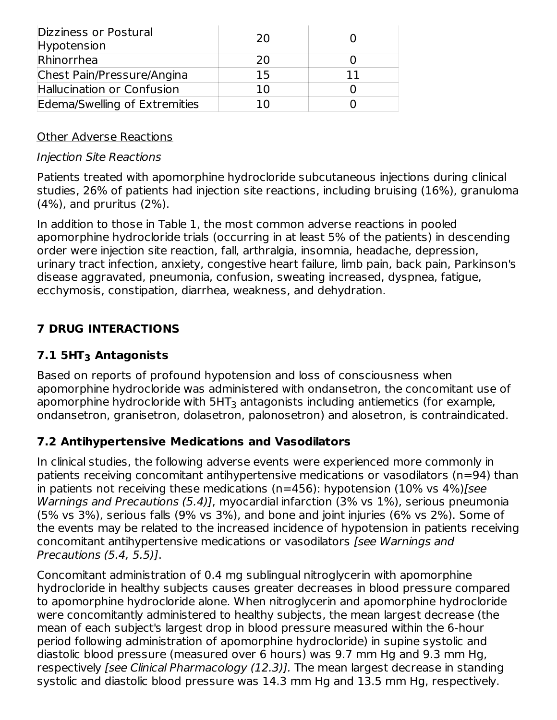| Dizziness or Postural<br>Hypotension | 20  |  |
|--------------------------------------|-----|--|
| Rhinorrhea                           | 20  |  |
| Chest Pain/Pressure/Angina           | 15  |  |
| Hallucination or Confusion           | 10  |  |
| Edema/Swelling of Extremities        | 1 በ |  |

### Other Adverse Reactions

#### Injection Site Reactions

Patients treated with apomorphine hydrocloride subcutaneous injections during clinical studies, 26% of patients had injection site reactions, including bruising (16%), granuloma (4%), and pruritus (2%).

In addition to those in Table 1, the most common adverse reactions in pooled apomorphine hydrocloride trials (occurring in at least 5% of the patients) in descending order were injection site reaction, fall, arthralgia, insomnia, headache, depression, urinary tract infection, anxiety, congestive heart failure, limb pain, back pain, Parkinson's disease aggravated, pneumonia, confusion, sweating increased, dyspnea, fatigue, ecchymosis, constipation, diarrhea, weakness, and dehydration.

# **7 DRUG INTERACTIONS**

# **7.1 5HT Antagonists 3**

Based on reports of profound hypotension and loss of consciousness when apomorphine hydrocloride was administered with ondansetron, the concomitant use of apomorphine hydrocloride with 5HT $_3$  antagonists including antiemetics (for example, ondansetron, granisetron, dolasetron, palonosetron) and alosetron, is contraindicated.

### **7.2 Antihypertensive Medications and Vasodilators**

In clinical studies, the following adverse events were experienced more commonly in patients receiving concomitant antihypertensive medications or vasodilators (n=94) than in patients not receiving these medications ( $n=456$ ): hypotension (10% vs  $4\%$ )[see Warnings and Precautions (5.4)], myocardial infarction (3% vs 1%), serious pneumonia (5% vs 3%), serious falls (9% vs 3%), and bone and joint injuries (6% vs 2%). Some of the events may be related to the increased incidence of hypotension in patients receiving concomitant antihypertensive medications or vasodilators [see Warnings and Precautions (5.4, 5.5)].

Concomitant administration of 0.4 mg sublingual nitroglycerin with apomorphine hydrocloride in healthy subjects causes greater decreases in blood pressure compared to apomorphine hydrocloride alone. When nitroglycerin and apomorphine hydrocloride were concomitantly administered to healthy subjects, the mean largest decrease (the mean of each subject's largest drop in blood pressure measured within the 6-hour period following administration of apomorphine hydrocloride) in supine systolic and diastolic blood pressure (measured over 6 hours) was 9.7 mm Hg and 9.3 mm Hg, respectively [see Clinical Pharmacology (12.3)]. The mean largest decrease in standing systolic and diastolic blood pressure was 14.3 mm Hg and 13.5 mm Hg, respectively.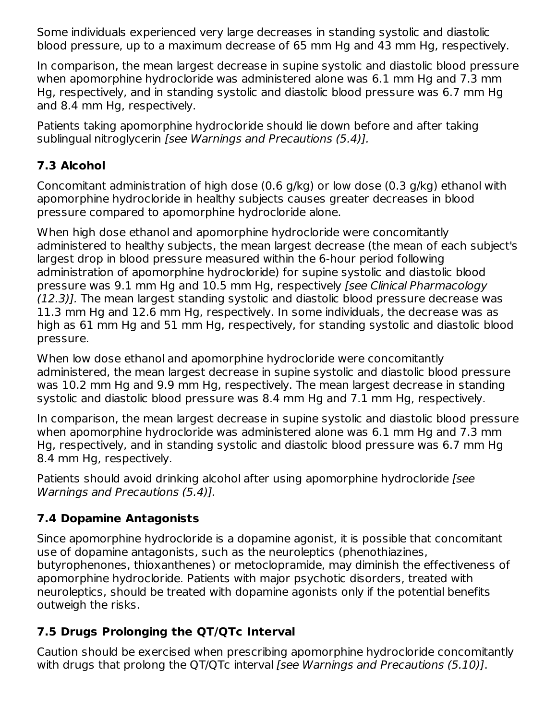Some individuals experienced very large decreases in standing systolic and diastolic blood pressure, up to a maximum decrease of 65 mm Hg and 43 mm Hg, respectively.

In comparison, the mean largest decrease in supine systolic and diastolic blood pressure when apomorphine hydrocloride was administered alone was 6.1 mm Hg and 7.3 mm Hg, respectively, and in standing systolic and diastolic blood pressure was 6.7 mm Hg and 8.4 mm Hg, respectively.

Patients taking apomorphine hydrocloride should lie down before and after taking sublingual nitroglycerin [see Warnings and Precautions (5.4)].

# **7.3 Alcohol**

Concomitant administration of high dose (0.6 g/kg) or low dose (0.3 g/kg) ethanol with apomorphine hydrocloride in healthy subjects causes greater decreases in blood pressure compared to apomorphine hydrocloride alone.

When high dose ethanol and apomorphine hydrocloride were concomitantly administered to healthy subjects, the mean largest decrease (the mean of each subject's largest drop in blood pressure measured within the 6-hour period following administration of apomorphine hydrocloride) for supine systolic and diastolic blood pressure was 9.1 mm Hg and 10.5 mm Hg, respectively [see Clinical Pharmacology (12.3)]. The mean largest standing systolic and diastolic blood pressure decrease was 11.3 mm Hg and 12.6 mm Hg, respectively. In some individuals, the decrease was as high as 61 mm Hg and 51 mm Hg, respectively, for standing systolic and diastolic blood pressure.

When low dose ethanol and apomorphine hydrocloride were concomitantly administered, the mean largest decrease in supine systolic and diastolic blood pressure was 10.2 mm Hg and 9.9 mm Hg, respectively. The mean largest decrease in standing systolic and diastolic blood pressure was 8.4 mm Hg and 7.1 mm Hg, respectively.

In comparison, the mean largest decrease in supine systolic and diastolic blood pressure when apomorphine hydrocloride was administered alone was 6.1 mm Hg and 7.3 mm Hg, respectively, and in standing systolic and diastolic blood pressure was 6.7 mm Hg 8.4 mm Hg, respectively.

Patients should avoid drinking alcohol after using apomorphine hydrocloride (see Warnings and Precautions (5.4)].

# **7.4 Dopamine Antagonists**

Since apomorphine hydrocloride is a dopamine agonist, it is possible that concomitant use of dopamine antagonists, such as the neuroleptics (phenothiazines, butyrophenones, thioxanthenes) or metoclopramide, may diminish the effectiveness of apomorphine hydrocloride. Patients with major psychotic disorders, treated with neuroleptics, should be treated with dopamine agonists only if the potential benefits outweigh the risks.

# **7.5 Drugs Prolonging the QT/QTc Interval**

Caution should be exercised when prescribing apomorphine hydrocloride concomitantly with drugs that prolong the QT/QTc interval *[see Warnings and Precautions (5.10)]*.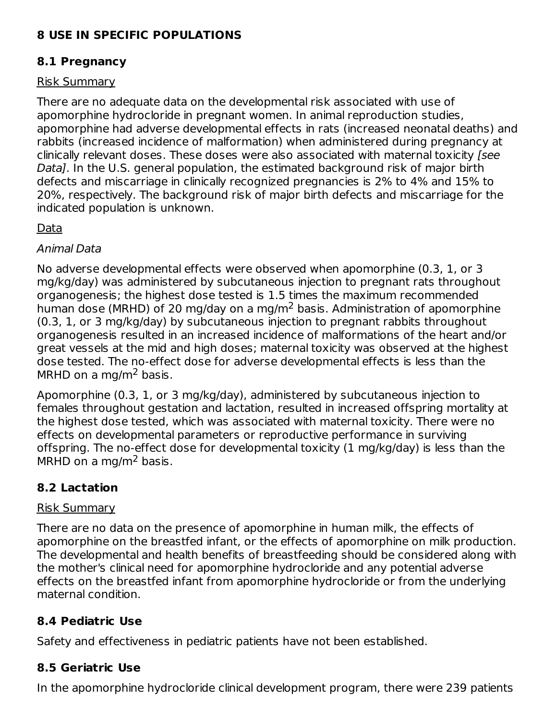# **8 USE IN SPECIFIC POPULATIONS**

# **8.1 Pregnancy**

### Risk Summary

There are no adequate data on the developmental risk associated with use of apomorphine hydrocloride in pregnant women. In animal reproduction studies, apomorphine had adverse developmental effects in rats (increased neonatal deaths) and rabbits (increased incidence of malformation) when administered during pregnancy at clinically relevant doses. These doses were also associated with maternal toxicity [see Data]. In the U.S. general population, the estimated background risk of major birth defects and miscarriage in clinically recognized pregnancies is 2% to 4% and 15% to 20%, respectively. The background risk of major birth defects and miscarriage for the indicated population is unknown.

### Data

#### Animal Data

No adverse developmental effects were observed when apomorphine (0.3, 1, or 3 mg/kg/day) was administered by subcutaneous injection to pregnant rats throughout organogenesis; the highest dose tested is 1.5 times the maximum recommended human dose (MRHD) of 20 mg/day on a mg/m<sup>2</sup> basis. Administration of apomorphine (0.3, 1, or 3 mg/kg/day) by subcutaneous injection to pregnant rabbits throughout organogenesis resulted in an increased incidence of malformations of the heart and/or great vessels at the mid and high doses; maternal toxicity was observed at the highest dose tested. The no-effect dose for adverse developmental effects is less than the MRHD on a mg/m<sup>2</sup> basis.

Apomorphine (0.3, 1, or 3 mg/kg/day), administered by subcutaneous injection to females throughout gestation and lactation, resulted in increased offspring mortality at the highest dose tested, which was associated with maternal toxicity. There were no effects on developmental parameters or reproductive performance in surviving offspring. The no-effect dose for developmental toxicity (1 mg/kg/day) is less than the MRHD on a mg/m<sup>2</sup> basis.

# **8.2 Lactation**

#### Risk Summary

There are no data on the presence of apomorphine in human milk, the effects of apomorphine on the breastfed infant, or the effects of apomorphine on milk production. The developmental and health benefits of breastfeeding should be considered along with the mother's clinical need for apomorphine hydrocloride and any potential adverse effects on the breastfed infant from apomorphine hydrocloride or from the underlying maternal condition.

# **8.4 Pediatric Use**

Safety and effectiveness in pediatric patients have not been established.

# **8.5 Geriatric Use**

In the apomorphine hydrocloride clinical development program, there were 239 patients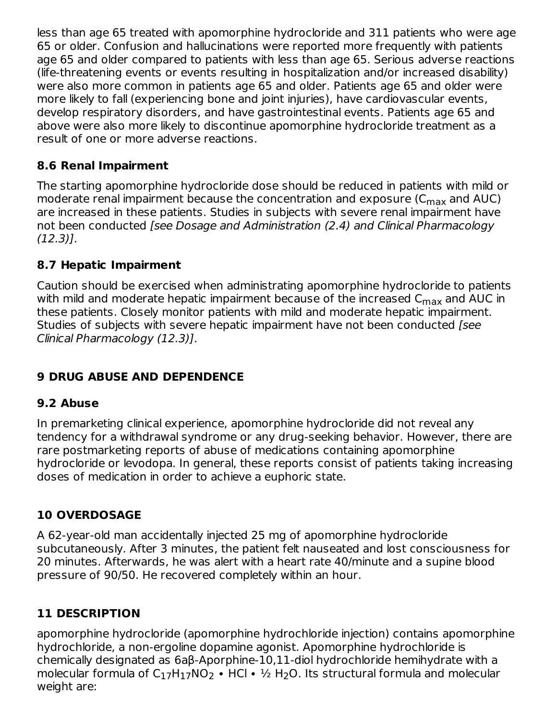less than age 65 treated with apomorphine hydrocloride and 311 patients who were age 65 or older. Confusion and hallucinations were reported more frequently with patients age 65 and older compared to patients with less than age 65. Serious adverse reactions (life-threatening events or events resulting in hospitalization and/or increased disability) were also more common in patients age 65 and older. Patients age 65 and older were more likely to fall (experiencing bone and joint injuries), have cardiovascular events, develop respiratory disorders, and have gastrointestinal events. Patients age 65 and above were also more likely to discontinue apomorphine hydrocloride treatment as a result of one or more adverse reactions.

### **8.6 Renal Impairment**

The starting apomorphine hydrocloride dose should be reduced in patients with mild or moderate renal impairment because the concentration and exposure (C $_{\sf max}$  and AUC) are increased in these patients. Studies in subjects with severe renal impairment have not been conducted [see Dosage and Administration (2.4) and Clinical Pharmacology (12.3)].

### **8.7 Hepatic Impairment**

Caution should be exercised when administrating apomorphine hydrocloride to patients with mild and moderate hepatic impairment because of the increased  $\mathsf{C}_{\mathsf{max}}$  and AUC in these patients. Closely monitor patients with mild and moderate hepatic impairment. Studies of subjects with severe hepatic impairment have not been conducted [see Clinical Pharmacology (12.3)].

# **9 DRUG ABUSE AND DEPENDENCE**

### **9.2 Abuse**

In premarketing clinical experience, apomorphine hydrocloride did not reveal any tendency for a withdrawal syndrome or any drug-seeking behavior. However, there are rare postmarketing reports of abuse of medications containing apomorphine hydrocloride or levodopa. In general, these reports consist of patients taking increasing doses of medication in order to achieve a euphoric state.

### **10 OVERDOSAGE**

A 62-year-old man accidentally injected 25 mg of apomorphine hydrocloride subcutaneously. After 3 minutes, the patient felt nauseated and lost consciousness for 20 minutes. Afterwards, he was alert with a heart rate 40/minute and a supine blood pressure of 90/50. He recovered completely within an hour.

### **11 DESCRIPTION**

apomorphine hydrocloride (apomorphine hydrochloride injection) contains apomorphine hydrochloride, a non-ergoline dopamine agonist. Apomorphine hydrochloride is chemically designated as 6aβ-Aporphine-10,11-diol hydrochloride hemihydrate with a molecular formula of C<sub>17</sub>H<sub>17</sub>NO<sub>2</sub> • HCl • ½ H<sub>2</sub>O. Its structural formula and molecular weight are: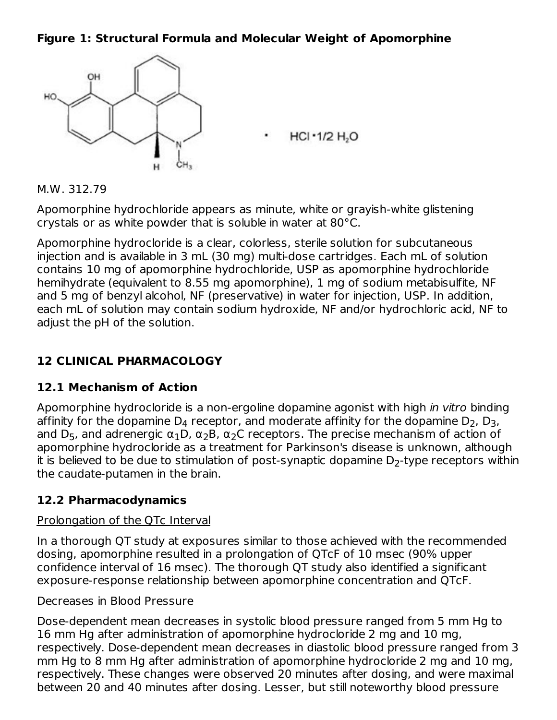#### **Figure 1: Structural Formula and Molecular Weight of Apomorphine**



#### M.W. 312.79

Apomorphine hydrochloride appears as minute, white or grayish-white glistening crystals or as white powder that is soluble in water at 80°C.

Apomorphine hydrocloride is a clear, colorless, sterile solution for subcutaneous injection and is available in 3 mL (30 mg) multi-dose cartridges. Each mL of solution contains 10 mg of apomorphine hydrochloride, USP as apomorphine hydrochloride hemihydrate (equivalent to 8.55 mg apomorphine), 1 mg of sodium metabisulfite, NF and 5 mg of benzyl alcohol, NF (preservative) in water for injection, USP. In addition, each mL of solution may contain sodium hydroxide, NF and/or hydrochloric acid, NF to adjust the pH of the solution.

### **12 CLINICAL PHARMACOLOGY**

#### **12.1 Mechanism of Action**

Apomorphine hydrocloride is a non-ergoline dopamine agonist with high *in vitro* binding affinity for the dopamine  $\mathsf{D}_4$  receptor, and moderate affinity for the dopamine  $\mathsf{D}_2$ ,  $\mathsf{D}_3$ , and D<sub>5</sub>, and adrenergic  $\alpha_1$ D,  $\alpha_2$ B,  $\alpha_2$ C receptors. The precise mechanism of action of apomorphine hydrocloride as a treatment for Parkinson's disease is unknown, although it is believed to be due to stimulation of post-synaptic dopamine  $\mathsf{D}_2\text{-type}$  receptors within the caudate-putamen in the brain.

### **12.2 Pharmacodynamics**

#### Prolongation of the QTc Interval

In a thorough QT study at exposures similar to those achieved with the recommended dosing, apomorphine resulted in a prolongation of QTcF of 10 msec (90% upper confidence interval of 16 msec). The thorough QT study also identified a significant exposure-response relationship between apomorphine concentration and QTcF.

#### Decreases in Blood Pressure

Dose-dependent mean decreases in systolic blood pressure ranged from 5 mm Hg to 16 mm Hg after administration of apomorphine hydrocloride 2 mg and 10 mg, respectively. Dose-dependent mean decreases in diastolic blood pressure ranged from 3 mm Hg to 8 mm Hg after administration of apomorphine hydrocloride 2 mg and 10 mg, respectively. These changes were observed 20 minutes after dosing, and were maximal between 20 and 40 minutes after dosing. Lesser, but still noteworthy blood pressure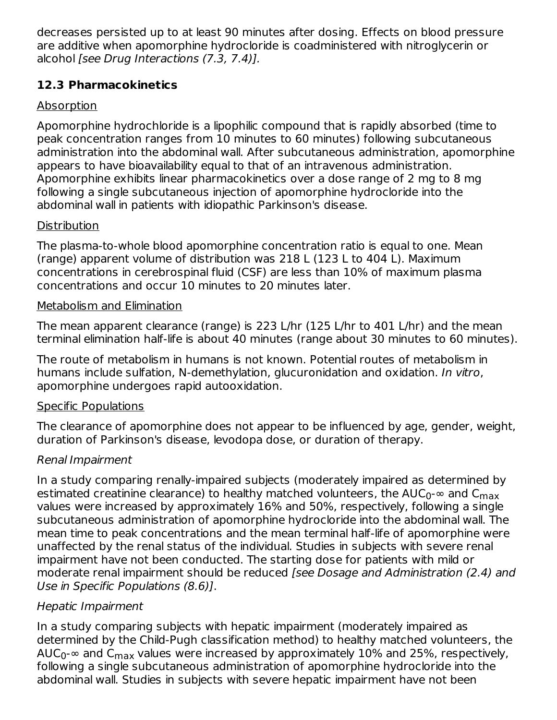decreases persisted up to at least 90 minutes after dosing. Effects on blood pressure are additive when apomorphine hydrocloride is coadministered with nitroglycerin or alcohol [see Drug Interactions (7.3, 7.4)].

# **12.3 Pharmacokinetics**

### **Absorption**

Apomorphine hydrochloride is a lipophilic compound that is rapidly absorbed (time to peak concentration ranges from 10 minutes to 60 minutes) following subcutaneous administration into the abdominal wall. After subcutaneous administration, apomorphine appears to have bioavailability equal to that of an intravenous administration. Apomorphine exhibits linear pharmacokinetics over a dose range of 2 mg to 8 mg following a single subcutaneous injection of apomorphine hydrocloride into the abdominal wall in patients with idiopathic Parkinson's disease.

### **Distribution**

The plasma-to-whole blood apomorphine concentration ratio is equal to one. Mean (range) apparent volume of distribution was 218 L (123 L to 404 L). Maximum concentrations in cerebrospinal fluid (CSF) are less than 10% of maximum plasma concentrations and occur 10 minutes to 20 minutes later.

### Metabolism and Elimination

The mean apparent clearance (range) is 223 L/hr (125 L/hr to 401 L/hr) and the mean terminal elimination half-life is about 40 minutes (range about 30 minutes to 60 minutes).

The route of metabolism in humans is not known. Potential routes of metabolism in humans include sulfation, N-demethylation, glucuronidation and oxidation. In vitro, apomorphine undergoes rapid autooxidation.

### Specific Populations

The clearance of apomorphine does not appear to be influenced by age, gender, weight, duration of Parkinson's disease, levodopa dose, or duration of therapy.

# Renal Impairment

In a study comparing renally-impaired subjects (moderately impaired as determined by estimated creatinine clearance) to healthy matched volunteers, the AUC $_0$ - $\infty$  and C $_{\sf max}$ values were increased by approximately 16% and 50%, respectively, following a single subcutaneous administration of apomorphine hydrocloride into the abdominal wall. The mean time to peak concentrations and the mean terminal half-life of apomorphine were unaffected by the renal status of the individual. Studies in subjects with severe renal impairment have not been conducted. The starting dose for patients with mild or moderate renal impairment should be reduced [see Dosage and Administration (2.4) and Use in Specific Populations (8.6)].

# Hepatic Impairment

In a study comparing subjects with hepatic impairment (moderately impaired as determined by the Child-Pugh classification method) to healthy matched volunteers, the AUC $_0$ - $\infty$  and C $_{\sf max}$  values were increased by approximately 10% and 25%, respectively, following a single subcutaneous administration of apomorphine hydrocloride into the abdominal wall. Studies in subjects with severe hepatic impairment have not been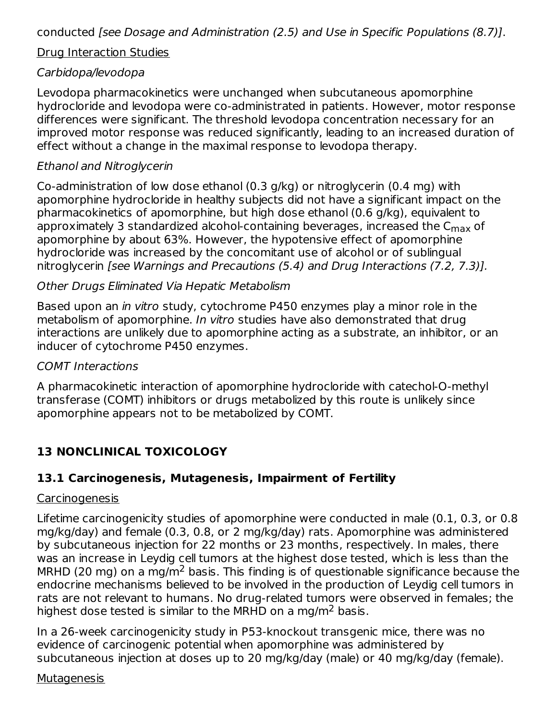conducted [see Dosage and Administration (2.5) and Use in Specific Populations (8.7)].

#### Drug Interaction Studies

### Carbidopa/levodopa

Levodopa pharmacokinetics were unchanged when subcutaneous apomorphine hydrocloride and levodopa were co-administrated in patients. However, motor response differences were significant. The threshold levodopa concentration necessary for an improved motor response was reduced significantly, leading to an increased duration of effect without a change in the maximal response to levodopa therapy.

### Ethanol and Nitroglycerin

Co-administration of low dose ethanol (0.3 g/kg) or nitroglycerin (0.4 mg) with apomorphine hydrocloride in healthy subjects did not have a significant impact on the pharmacokinetics of apomorphine, but high dose ethanol (0.6 g/kg), equivalent to approximately 3 standardized alcohol-containing beverages, increased the C<sub>max</sub> of apomorphine by about 63%. However, the hypotensive effect of apomorphine hydrocloride was increased by the concomitant use of alcohol or of sublingual nitroglycerin [see Warnings and Precautions (5.4) and Drug Interactions (7.2, 7.3)].

### Other Drugs Eliminated Via Hepatic Metabolism

Based upon an in vitro study, cytochrome P450 enzymes play a minor role in the metabolism of apomorphine. In vitro studies have also demonstrated that drug interactions are unlikely due to apomorphine acting as a substrate, an inhibitor, or an inducer of cytochrome P450 enzymes.

#### COMT Interactions

A pharmacokinetic interaction of apomorphine hydrocloride with catechol-O-methyl transferase (COMT) inhibitors or drugs metabolized by this route is unlikely since apomorphine appears not to be metabolized by COMT.

# **13 NONCLINICAL TOXICOLOGY**

### **13.1 Carcinogenesis, Mutagenesis, Impairment of Fertility**

#### Carcinogenesis

Lifetime carcinogenicity studies of apomorphine were conducted in male (0.1, 0.3, or 0.8 mg/kg/day) and female (0.3, 0.8, or 2 mg/kg/day) rats. Apomorphine was administered by subcutaneous injection for 22 months or 23 months, respectively. In males, there was an increase in Leydig cell tumors at the highest dose tested, which is less than the MRHD (20 mg) on a mg/m<sup>2</sup> basis. This finding is of questionable significance because the endocrine mechanisms believed to be involved in the production of Leydig cell tumors in rats are not relevant to humans. No drug-related tumors were observed in females; the highest dose tested is similar to the MRHD on a mg/m<sup>2</sup> basis.

In a 26-week carcinogenicity study in P53-knockout transgenic mice, there was no evidence of carcinogenic potential when apomorphine was administered by subcutaneous injection at doses up to 20 mg/kg/day (male) or 40 mg/kg/day (female).

#### Mutagenesis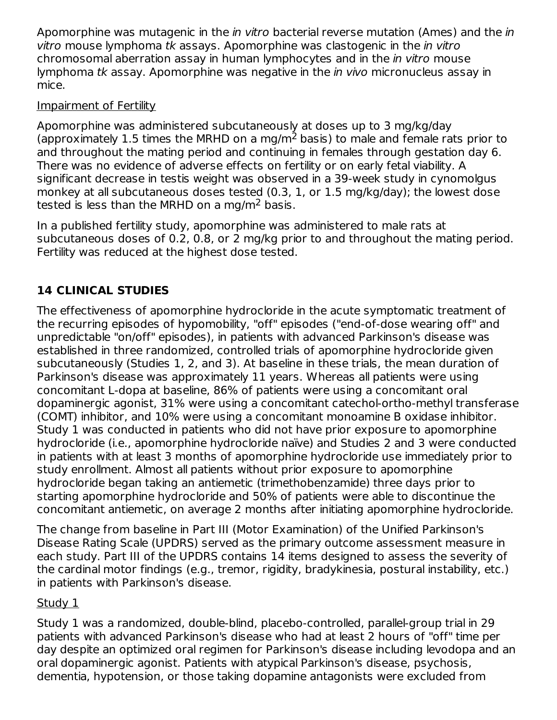Apomorphine was mutagenic in the *in vitro* bacterial reverse mutation (Ames) and the *in* vitro mouse lymphoma tk assays. Apomorphine was clastogenic in the in vitro chromosomal aberration assay in human lymphocytes and in the in vitro mouse lymphoma tk assay. Apomorphine was negative in the *in vivo* micronucleus assay in mice.

### Impairment of Fertility

Apomorphine was administered subcutaneously at doses up to 3 mg/kg/day (approximately 1.5 times the MRHD on a mg/m<sup>2</sup> basis) to male and female rats prior to and throughout the mating period and continuing in females through gestation day 6. There was no evidence of adverse effects on fertility or on early fetal viability. A significant decrease in testis weight was observed in a 39-week study in cynomolgus monkey at all subcutaneous doses tested (0.3, 1, or 1.5 mg/kg/day); the lowest dose tested is less than the MRHD on a mg/m<sup>2</sup> basis.

In a published fertility study, apomorphine was administered to male rats at subcutaneous doses of 0.2, 0.8, or 2 mg/kg prior to and throughout the mating period. Fertility was reduced at the highest dose tested.

# **14 CLINICAL STUDIES**

The effectiveness of apomorphine hydrocloride in the acute symptomatic treatment of the recurring episodes of hypomobility, "off" episodes ("end-of-dose wearing off" and unpredictable "on/off" episodes), in patients with advanced Parkinson's disease was established in three randomized, controlled trials of apomorphine hydrocloride given subcutaneously (Studies 1, 2, and 3). At baseline in these trials, the mean duration of Parkinson's disease was approximately 11 years. Whereas all patients were using concomitant L-dopa at baseline, 86% of patients were using a concomitant oral dopaminergic agonist, 31% were using a concomitant catechol-ortho-methyl transferase (COMT) inhibitor, and 10% were using a concomitant monoamine B oxidase inhibitor. Study 1 was conducted in patients who did not have prior exposure to apomorphine hydrocloride (i.e., apomorphine hydrocloride naïve) and Studies 2 and 3 were conducted in patients with at least 3 months of apomorphine hydrocloride use immediately prior to study enrollment. Almost all patients without prior exposure to apomorphine hydrocloride began taking an antiemetic (trimethobenzamide) three days prior to starting apomorphine hydrocloride and 50% of patients were able to discontinue the concomitant antiemetic, on average 2 months after initiating apomorphine hydrocloride.

The change from baseline in Part III (Motor Examination) of the Unified Parkinson's Disease Rating Scale (UPDRS) served as the primary outcome assessment measure in each study. Part III of the UPDRS contains 14 items designed to assess the severity of the cardinal motor findings (e.g., tremor, rigidity, bradykinesia, postural instability, etc.) in patients with Parkinson's disease.

### Study 1

Study 1 was a randomized, double-blind, placebo-controlled, parallel-group trial in 29 patients with advanced Parkinson's disease who had at least 2 hours of "off" time per day despite an optimized oral regimen for Parkinson's disease including levodopa and an oral dopaminergic agonist. Patients with atypical Parkinson's disease, psychosis, dementia, hypotension, or those taking dopamine antagonists were excluded from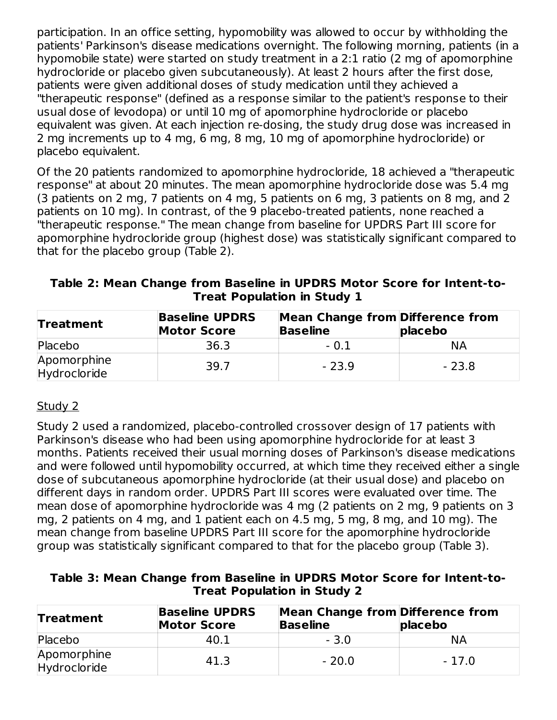participation. In an office setting, hypomobility was allowed to occur by withholding the patients' Parkinson's disease medications overnight. The following morning, patients (in a hypomobile state) were started on study treatment in a 2:1 ratio (2 mg of apomorphine hydrocloride or placebo given subcutaneously). At least 2 hours after the first dose, patients were given additional doses of study medication until they achieved a "therapeutic response" (defined as a response similar to the patient's response to their usual dose of levodopa) or until 10 mg of apomorphine hydrocloride or placebo equivalent was given. At each injection re-dosing, the study drug dose was increased in 2 mg increments up to 4 mg, 6 mg, 8 mg, 10 mg of apomorphine hydrocloride) or placebo equivalent.

Of the 20 patients randomized to apomorphine hydrocloride, 18 achieved a "therapeutic response" at about 20 minutes. The mean apomorphine hydrocloride dose was 5.4 mg (3 patients on 2 mg, 7 patients on 4 mg, 5 patients on 6 mg, 3 patients on 8 mg, and 2 patients on 10 mg). In contrast, of the 9 placebo-treated patients, none reached a "therapeutic response." The mean change from baseline for UPDRS Part III score for apomorphine hydrocloride group (highest dose) was statistically significant compared to that for the placebo group (Table 2).

#### **Table 2: Mean Change from Baseline in UPDRS Motor Score for Intent-to-Treat Population in Study 1**

| <b>Treatment</b>            | <b>Baseline UPDRS</b><br><b>Motor Score</b> | <b>Mean Change from Difference from</b><br><b>Baseline</b> | placebo |  |
|-----------------------------|---------------------------------------------|------------------------------------------------------------|---------|--|
| Placebo                     | 36.3                                        | $-0.1$                                                     | NΑ      |  |
| Apomorphine<br>Hydrocloride | 39.7                                        | $-23.9$                                                    | $-23.8$ |  |

### Study 2

Study 2 used a randomized, placebo-controlled crossover design of 17 patients with Parkinson's disease who had been using apomorphine hydrocloride for at least 3 months. Patients received their usual morning doses of Parkinson's disease medications and were followed until hypomobility occurred, at which time they received either a single dose of subcutaneous apomorphine hydrocloride (at their usual dose) and placebo on different days in random order. UPDRS Part III scores were evaluated over time. The mean dose of apomorphine hydrocloride was 4 mg (2 patients on 2 mg, 9 patients on 3 mg, 2 patients on 4 mg, and 1 patient each on 4.5 mg, 5 mg, 8 mg, and 10 mg). The mean change from baseline UPDRS Part III score for the apomorphine hydrocloride group was statistically significant compared to that for the placebo group (Table 3).

| Table 3: Mean Change from Baseline in UPDRS Motor Score for Intent-to- |  |
|------------------------------------------------------------------------|--|
| <b>Treat Population in Study 2</b>                                     |  |

| <b>Treatment</b>            | <b>Baseline UPDRS</b><br><b>Motor Score</b> | Mean Change from Difference from<br><b>Baseline</b> | placebo |  |
|-----------------------------|---------------------------------------------|-----------------------------------------------------|---------|--|
| Placebo                     | 40.1                                        | $-3.0$                                              | NА      |  |
| Apomorphine<br>Hydrocloride | 41.3                                        | $-20.0$                                             | $-17.0$ |  |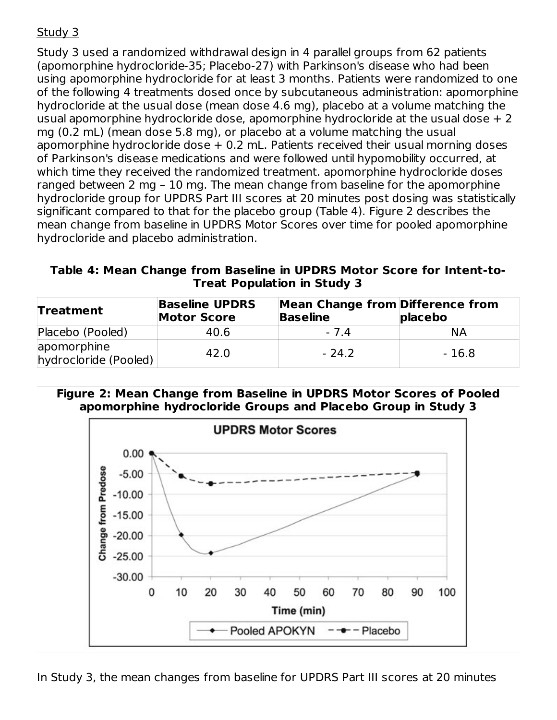# Study 3

Study 3 used a randomized withdrawal design in 4 parallel groups from 62 patients (apomorphine hydrocloride-35; Placebo-27) with Parkinson's disease who had been using apomorphine hydrocloride for at least 3 months. Patients were randomized to one of the following 4 treatments dosed once by subcutaneous administration: apomorphine hydrocloride at the usual dose (mean dose 4.6 mg), placebo at a volume matching the usual apomorphine hydrocloride dose, apomorphine hydrocloride at the usual dose  $+2$ mg (0.2 mL) (mean dose 5.8 mg), or placebo at a volume matching the usual apomorphine hydrocloride dose  $+$  0.2 mL. Patients received their usual morning doses of Parkinson's disease medications and were followed until hypomobility occurred, at which time they received the randomized treatment. apomorphine hydrocloride doses ranged between 2 mg – 10 mg. The mean change from baseline for the apomorphine hydrocloride group for UPDRS Part III scores at 20 minutes post dosing was statistically significant compared to that for the placebo group (Table 4). Figure 2 describes the mean change from baseline in UPDRS Motor Scores over time for pooled apomorphine hydrocloride and placebo administration.

#### **Table 4: Mean Change from Baseline in UPDRS Motor Score for Intent-to-Treat Population in Study 3**

| <b>Treatment</b>                     | <b>Baseline UPDRS</b><br><b>Motor Score</b> | <b>Mean Change from Difference from</b><br><b>Baseline</b> | placebo |
|--------------------------------------|---------------------------------------------|------------------------------------------------------------|---------|
| Placebo (Pooled)                     | 40.6                                        | -74                                                        | NА      |
| apomorphine<br>hydrocloride (Pooled) | 42.0                                        | - 24.2                                                     | - 16.8  |

#### **Figure 2: Mean Change from Baseline in UPDRS Motor Scores of Pooled apomorphine hydrocloride Groups and Placebo Group in Study 3**

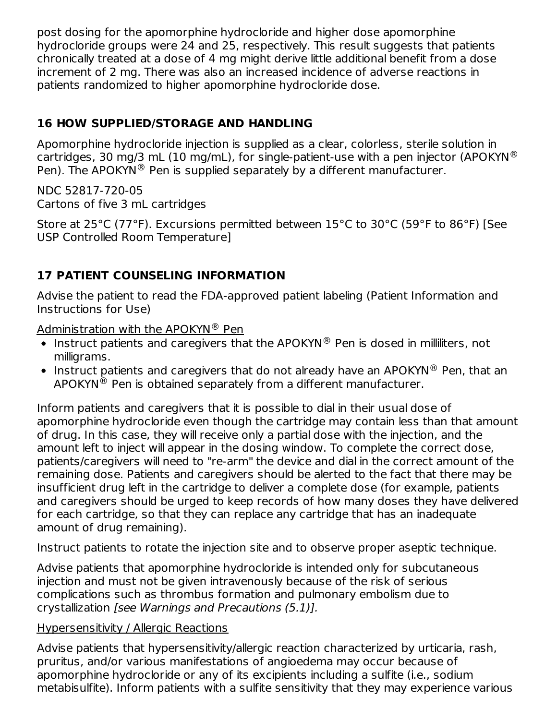post dosing for the apomorphine hydrocloride and higher dose apomorphine hydrocloride groups were 24 and 25, respectively. This result suggests that patients chronically treated at a dose of 4 mg might derive little additional benefit from a dose increment of 2 mg. There was also an increased incidence of adverse reactions in patients randomized to higher apomorphine hydrocloride dose.

# **16 HOW SUPPLIED/STORAGE AND HANDLING**

Apomorphine hydrocloride injection is supplied as a clear, colorless, sterile solution in cartridges, 30 mg/3 mL (10 mg/mL), for single-patient-use with a pen injector (APOKYN $^{\circledR}$ Pen). The APOKYN<sup>®</sup> Pen is supplied separately by a different manufacturer.

NDC 52817-720-05 Cartons of five 3 mL cartridges

Store at 25°C (77°F). Excursions permitted between 15°C to 30°C (59°F to 86°F) [See USP Controlled Room Temperature]

# **17 PATIENT COUNSELING INFORMATION**

Advise the patient to read the FDA-approved patient labeling (Patient Information and Instructions for Use)

Administration with the APOKYN® Pen

- Instruct patients and caregivers that the APOKYN $^{\circledR}$  Pen is dosed in milliliters, not milligrams.
- Instruct patients and caregivers that do not already have an APOKYN $^{\circledR}$  Pen, that an  $\mathsf{APOKYN}^{\circledR}$  Pen is obtained separately from a different manufacturer.

Inform patients and caregivers that it is possible to dial in their usual dose of apomorphine hydrocloride even though the cartridge may contain less than that amount of drug. In this case, they will receive only a partial dose with the injection, and the amount left to inject will appear in the dosing window. To complete the correct dose, patients/caregivers will need to "re-arm" the device and dial in the correct amount of the remaining dose. Patients and caregivers should be alerted to the fact that there may be insufficient drug left in the cartridge to deliver a complete dose (for example, patients and caregivers should be urged to keep records of how many doses they have delivered for each cartridge, so that they can replace any cartridge that has an inadequate amount of drug remaining).

Instruct patients to rotate the injection site and to observe proper aseptic technique.

Advise patients that apomorphine hydrocloride is intended only for subcutaneous injection and must not be given intravenously because of the risk of serious complications such as thrombus formation and pulmonary embolism due to crystallization [see Warnings and Precautions (5.1)].

#### Hypersensitivity / Allergic Reactions

Advise patients that hypersensitivity/allergic reaction characterized by urticaria, rash, pruritus, and/or various manifestations of angioedema may occur because of apomorphine hydrocloride or any of its excipients including a sulfite (i.e., sodium metabisulfite). Inform patients with a sulfite sensitivity that they may experience various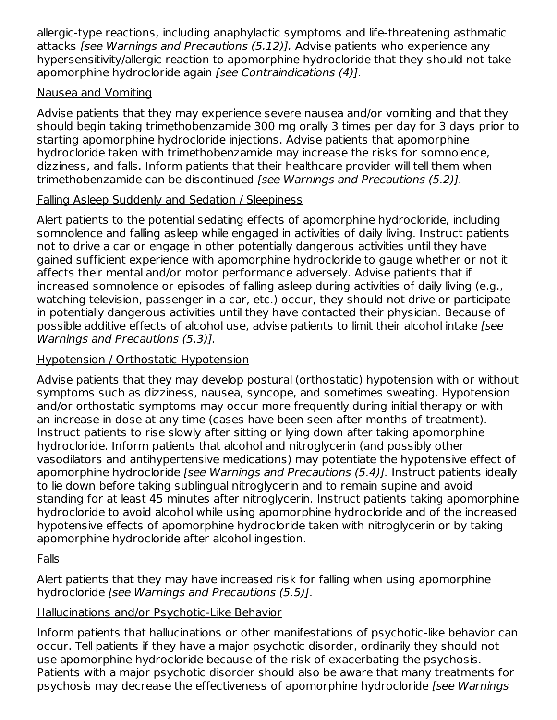allergic-type reactions, including anaphylactic symptoms and life-threatening asthmatic attacks [see Warnings and Precautions (5.12)]. Advise patients who experience any hypersensitivity/allergic reaction to apomorphine hydrocloride that they should not take apomorphine hydrocloride again [see Contraindications (4)].

### Nausea and Vomiting

Advise patients that they may experience severe nausea and/or vomiting and that they should begin taking trimethobenzamide 300 mg orally 3 times per day for 3 days prior to starting apomorphine hydrocloride injections. Advise patients that apomorphine hydrocloride taken with trimethobenzamide may increase the risks for somnolence, dizziness, and falls. Inform patients that their healthcare provider will tell them when trimethobenzamide can be discontinued [see Warnings and Precautions (5.2)].

### Falling Asleep Suddenly and Sedation / Sleepiness

Alert patients to the potential sedating effects of apomorphine hydrocloride, including somnolence and falling asleep while engaged in activities of daily living. Instruct patients not to drive a car or engage in other potentially dangerous activities until they have gained sufficient experience with apomorphine hydrocloride to gauge whether or not it affects their mental and/or motor performance adversely. Advise patients that if increased somnolence or episodes of falling asleep during activities of daily living (e.g., watching television, passenger in a car, etc.) occur, they should not drive or participate in potentially dangerous activities until they have contacted their physician. Because of possible additive effects of alcohol use, advise patients to limit their alcohol intake *[see*] Warnings and Precautions (5.3)].

### Hypotension / Orthostatic Hypotension

Advise patients that they may develop postural (orthostatic) hypotension with or without symptoms such as dizziness, nausea, syncope, and sometimes sweating. Hypotension and/or orthostatic symptoms may occur more frequently during initial therapy or with an increase in dose at any time (cases have been seen after months of treatment). Instruct patients to rise slowly after sitting or lying down after taking apomorphine hydrocloride. Inform patients that alcohol and nitroglycerin (and possibly other vasodilators and antihypertensive medications) may potentiate the hypotensive effect of apomorphine hydrocloride *[see Warnings and Precautions (5.4)]*. Instruct patients ideally to lie down before taking sublingual nitroglycerin and to remain supine and avoid standing for at least 45 minutes after nitroglycerin. Instruct patients taking apomorphine hydrocloride to avoid alcohol while using apomorphine hydrocloride and of the increased hypotensive effects of apomorphine hydrocloride taken with nitroglycerin or by taking apomorphine hydrocloride after alcohol ingestion.

# Falls

Alert patients that they may have increased risk for falling when using apomorphine hydrocloride [see Warnings and Precautions (5.5)].

#### Hallucinations and/or Psychotic-Like Behavior

Inform patients that hallucinations or other manifestations of psychotic-like behavior can occur. Tell patients if they have a major psychotic disorder, ordinarily they should not use apomorphine hydrocloride because of the risk of exacerbating the psychosis. Patients with a major psychotic disorder should also be aware that many treatments for psychosis may decrease the effectiveness of apomorphine hydrocloride *[see Warnings*]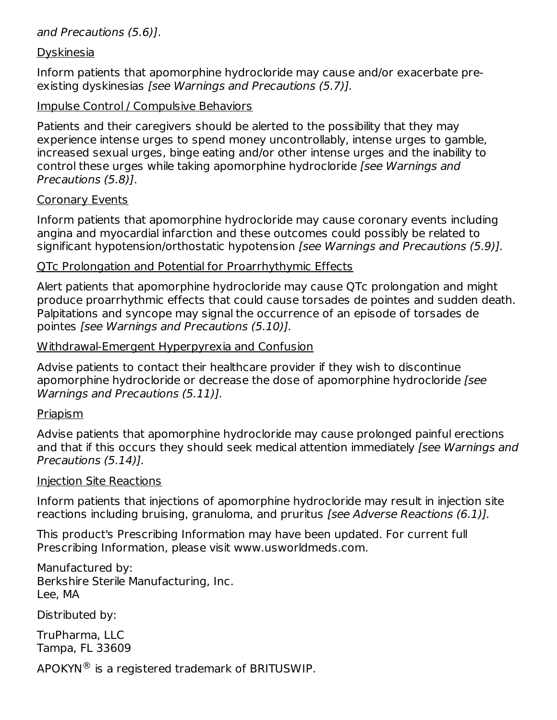#### and Precautions (5.6)].

#### **Dyskinesia**

Inform patients that apomorphine hydrocloride may cause and/or exacerbate preexisting dyskinesias *[see Warnings and Precautions (5.7)]*.

#### Impulse Control / Compulsive Behaviors

Patients and their caregivers should be alerted to the possibility that they may experience intense urges to spend money uncontrollably, intense urges to gamble, increased sexual urges, binge eating and/or other intense urges and the inability to control these urges while taking apomorphine hydrocloride [see Warnings and Precautions (5.8)].

#### Coronary Events

Inform patients that apomorphine hydrocloride may cause coronary events including angina and myocardial infarction and these outcomes could possibly be related to significant hypotension/orthostatic hypotension [see Warnings and Precautions (5.9)].

#### QTc Prolongation and Potential for Proarrhythymic Effects

Alert patients that apomorphine hydrocloride may cause QTc prolongation and might produce proarrhythmic effects that could cause torsades de pointes and sudden death. Palpitations and syncope may signal the occurrence of an episode of torsades de pointes [see Warnings and Precautions (5.10)].

#### Withdrawal-Emergent Hyperpyrexia and Confusion

Advise patients to contact their healthcare provider if they wish to discontinue apomorphine hydrocloride or decrease the dose of apomorphine hydrocloride *[see*] Warnings and Precautions (5.11)].

#### Priapism

Advise patients that apomorphine hydrocloride may cause prolonged painful erections and that if this occurs they should seek medical attention immediately [see Warnings and Precautions (5.14)].

#### Injection Site Reactions

Inform patients that injections of apomorphine hydrocloride may result in injection site reactions including bruising, granuloma, and pruritus [see Adverse Reactions (6.1)].

This product's Prescribing Information may have been updated. For current full Prescribing Information, please visit www.usworldmeds.com.

Manufactured by: Berkshire Sterile Manufacturing, Inc. Lee, MA

Distributed by:

TruPharma, LLC Tampa, FL 33609

APOKYN $\mathcal{R}$  is a registered trademark of BRITUSWIP.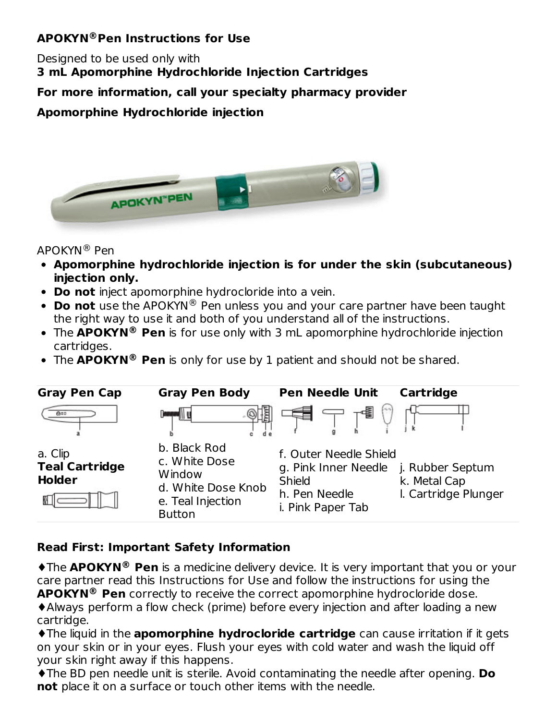### **APOKYN Pen Instructions for Use ®**

Designed to be used only with **3 mL Apomorphine Hydrochloride Injection Cartridges**

**For more information, call your specialty pharmacy provider**

**Apomorphine Hydrochloride injection**



#### APOKYN® Pen

- **Apomorphine hydrochloride injection is for under the skin (subcutaneous) injection only.**
- **Do not** inject apomorphine hydrocloride into a vein.
- **Do not** use the APOKYN® Pen unless you and your care partner have been taught the right way to use it and both of you understand all of the instructions.
- The **APOKYN Pen** is for use only with 3 mL apomorphine hydrochloride injection **®** cartridges.
- The **APOKYN®** Pen is only for use by 1 patient and should not be shared.

| <b>Gray Pen Cap</b>                               | <b>Gray Pen Body</b>                                                                                | <b>Pen Needle Unit</b>                                                                         | Cartridge                                                |
|---------------------------------------------------|-----------------------------------------------------------------------------------------------------|------------------------------------------------------------------------------------------------|----------------------------------------------------------|
| 010                                               |                                                                                                     |                                                                                                |                                                          |
| a. Clip<br><b>Teal Cartridge</b><br><b>Holder</b> | b. Black Rod<br>c. White Dose<br>Window<br>d. White Dose Knob<br>e. Teal Injection<br><b>Button</b> | f. Outer Needle Shield<br>g. Pink Inner Needle<br>Shield<br>h. Pen Needle<br>i. Pink Paper Tab | j. Rubber Septum<br>k. Metal Cap<br>I. Cartridge Plunger |

### **Read First: Important Safety Information**

 $\triangle$ **The APOKYN<sup>®</sup> Pen** is a medicine delivery device. It is very important that you or your care partner read this Instructions for Use and follow the instructions for using the **APOKYN Pen** correctly to receive the correct apomorphine hydrocloride dose. **®**

♦Always perform a flow check (prime) before every injection and after loading a new cartridge.

♦The liquid in the **apomorphine hydrocloride cartridge** can cause irritation if it gets on your skin or in your eyes. Flush your eyes with cold water and wash the liquid off your skin right away if this happens.

♦The BD pen needle unit is sterile. Avoid contaminating the needle after opening. **Do not** place it on a surface or touch other items with the needle.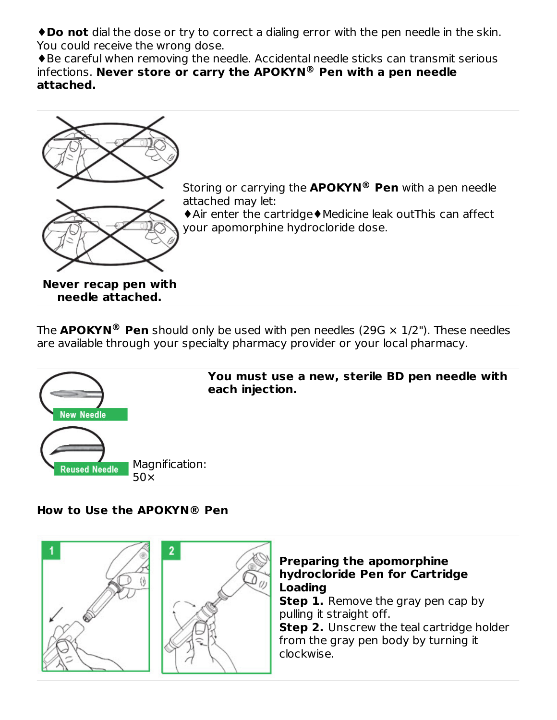♦**Do not** dial the dose or try to correct a dialing error with the pen needle in the skin. You could receive the wrong dose.

♦Be careful when removing the needle. Accidental needle sticks can transmit serious infections. **Never store or carry the APOKYN Pen with a pen needle ® attached.**



Storing or carrying the **APOKYN Pen** with a pen needle **®** attached may let:

♦Air enter the cartridge♦Medicine leak outThis can affect your apomorphine hydrocloride dose.

**Never recap pen with needle attached.**

The  $\mathbf{APOKYN}$ <sup>®</sup> Pen should only be used with pen needles (29G  $\times$  1/2"). These needles are available through your specialty pharmacy provider or your local pharmacy.



#### **How to Use the APOKYN® Pen**

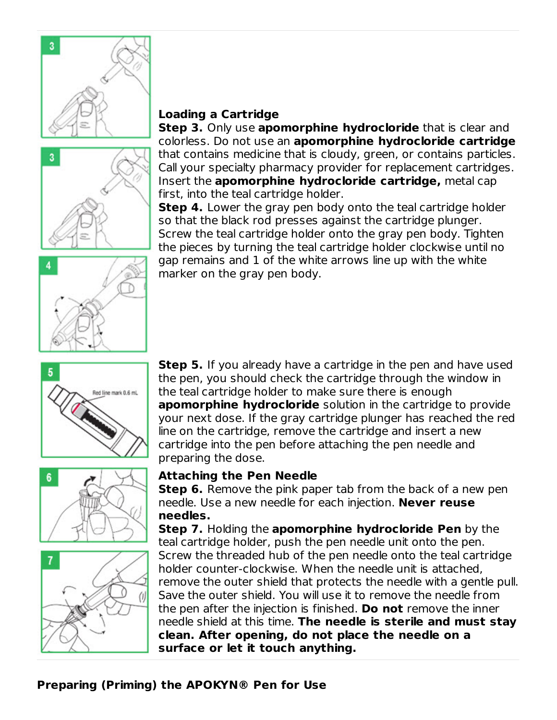



#### **Loading a Cartridge**

**Step 3.** Only use **apomorphine hydrocloride** that is clear and colorless. Do not use an **apomorphine hydrocloride cartridge** that contains medicine that is cloudy, green, or contains particles. Call your specialty pharmacy provider for replacement cartridges. Insert the **apomorphine hydrocloride cartridge,** metal cap first, into the teal cartridge holder.

**Step 4.** Lower the gray pen body onto the teal cartridge holder so that the black rod presses against the cartridge plunger. Screw the teal cartridge holder onto the gray pen body. Tighten the pieces by turning the teal cartridge holder clockwise until no gap remains and 1 of the white arrows line up with the white marker on the gray pen body.









**Step 5.** If you already have a cartridge in the pen and have used the pen, you should check the cartridge through the window in the teal cartridge holder to make sure there is enough **apomorphine hydrocloride** solution in the cartridge to provide your next dose. If the gray cartridge plunger has reached the red line on the cartridge, remove the cartridge and insert a new cartridge into the pen before attaching the pen needle and preparing the dose.

#### **Attaching the Pen Needle**

**Step 6.** Remove the pink paper tab from the back of a new pen needle. Use a new needle for each injection. **Never reuse needles.**

**Step 7.** Holding the **apomorphine hydrocloride Pen** by the teal cartridge holder, push the pen needle unit onto the pen. Screw the threaded hub of the pen needle onto the teal cartridge holder counter-clockwise. When the needle unit is attached, remove the outer shield that protects the needle with a gentle pull. Save the outer shield. You will use it to remove the needle from the pen after the injection is finished. **Do not** remove the inner needle shield at this time. **The needle is sterile and must stay clean. After opening, do not place the needle on a surface or let it touch anything.**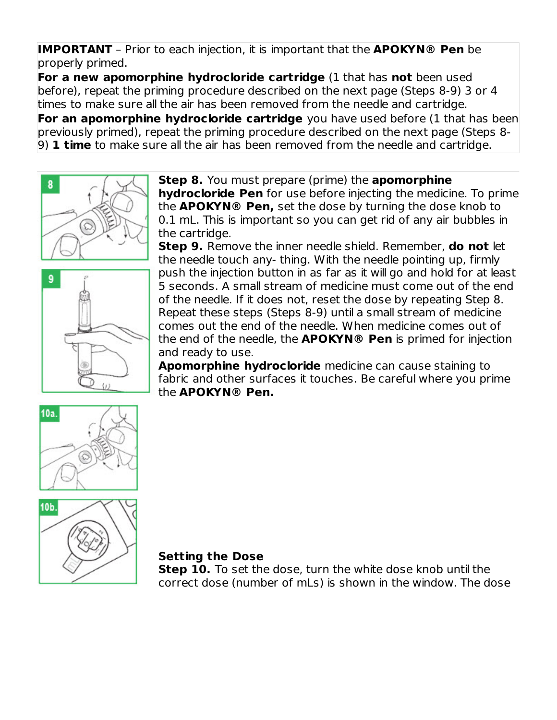**IMPORTANT** – Prior to each injection, it is important that the **APOKYN® Pen** be properly primed.

**For a new apomorphine hydrocloride cartridge** (1 that has **not** been used before), repeat the priming procedure described on the next page (Steps 8-9) 3 or 4 times to make sure all the air has been removed from the needle and cartridge. **For an apomorphine hydrocloride cartridge** you have used before (1 that has been previously primed), repeat the priming procedure described on the next page (Steps 8- 9) **1 time** to make sure all the air has been removed from the needle and cartridge.



9

**Step 8.** You must prepare (prime) the **apomorphine hydrocloride Pen** for use before injecting the medicine. To prime the **APOKYN® Pen,** set the dose by turning the dose knob to 0.1 mL. This is important so you can get rid of any air bubbles in the cartridge.

**Step 9.** Remove the inner needle shield. Remember, **do not** let the needle touch any- thing. With the needle pointing up, firmly push the injection button in as far as it will go and hold for at least 5 seconds. A small stream of medicine must come out of the end of the needle. If it does not, reset the dose by repeating Step 8. Repeat these steps (Steps 8-9) until a small stream of medicine comes out the end of the needle. When medicine comes out of the end of the needle, the **APOKYN® Pen** is primed for injection and ready to use.

**Apomorphine hydrocloride** medicine can cause staining to fabric and other surfaces it touches. Be careful where you prime the **APOKYN® Pen.**





#### **Setting the Dose**

**Step 10.** To set the dose, turn the white dose knob until the correct dose (number of mLs) is shown in the window. The dose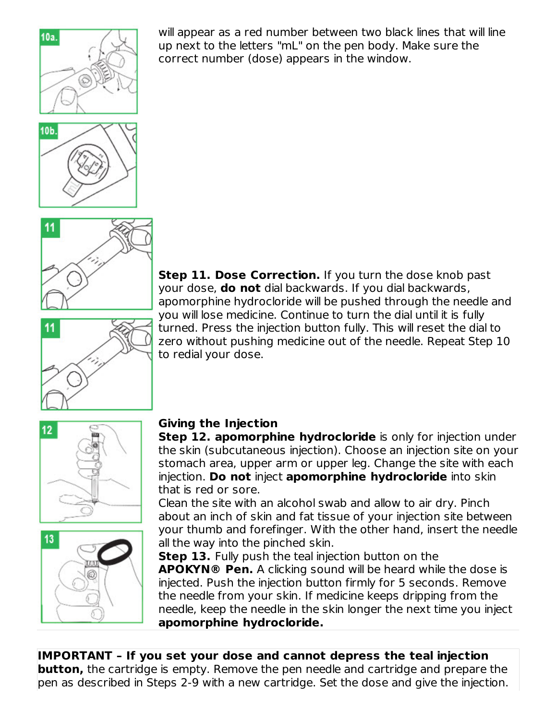

will appear as a red number between two black lines that will line up next to the letters "mL" on the pen body. Make sure the correct number (dose) appears in the window.





11

your dose, **do not** dial backwards. If you dial backwards, apomorphine hydrocloride will be pushed through the needle and you will lose medicine. Continue to turn the dial until it is fully turned. Press the injection button fully. This will reset the dial to zero without pushing medicine out of the needle. Repeat Step 10 to redial your dose.





# **Giving the Injection**

**Step 12. apomorphine hydrocloride** is only for injection under the skin (subcutaneous injection). Choose an injection site on your stomach area, upper arm or upper leg. Change the site with each injection. **Do not** inject **apomorphine hydrocloride** into skin that is red or sore.

**Step 11. Dose Correction.** If you turn the dose knob past

Clean the site with an alcohol swab and allow to air dry. Pinch about an inch of skin and fat tissue of your injection site between your thumb and forefinger. With the other hand, insert the needle all the way into the pinched skin.

**Step 13.** Fully push the teal injection button on the **APOKYN® Pen.** A clicking sound will be heard while the dose is injected. Push the injection button firmly for 5 seconds. Remove the needle from your skin. If medicine keeps dripping from the needle, keep the needle in the skin longer the next time you inject **apomorphine hydrocloride.**

**IMPORTANT – If you set your dose and cannot depress the teal injection button,** the cartridge is empty. Remove the pen needle and cartridge and prepare the pen as described in Steps 2-9 with a new cartridge. Set the dose and give the injection.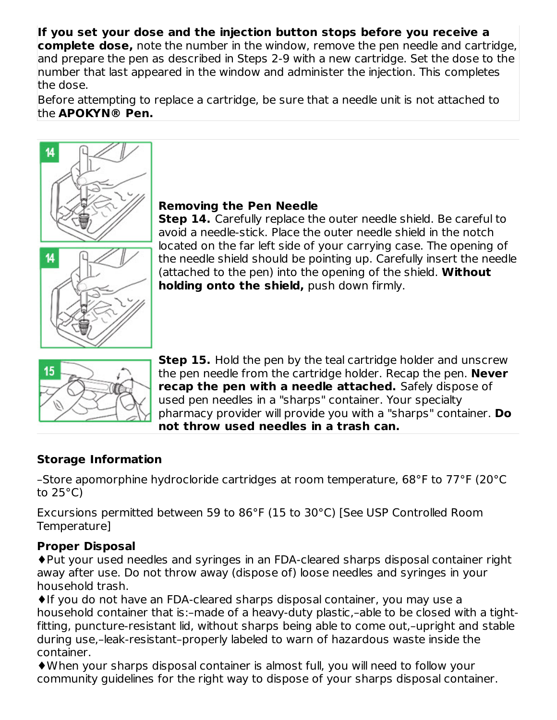# **If you set your dose and the injection button stops before you receive a**

**complete dose,** note the number in the window, remove the pen needle and cartridge, and prepare the pen as described in Steps 2-9 with a new cartridge. Set the dose to the number that last appeared in the window and administer the injection. This completes the dose.

Before attempting to replace a cartridge, be sure that a needle unit is not attached to the **APOKYN® Pen.**



### **Removing the Pen Needle**

**Step 14.** Carefully replace the outer needle shield. Be careful to avoid a needle-stick. Place the outer needle shield in the notch located on the far left side of your carrying case. The opening of the needle shield should be pointing up. Carefully insert the needle (attached to the pen) into the opening of the shield. **Without holding onto the shield,** push down firmly.



**Step 15.** Hold the pen by the teal cartridge holder and unscrew the pen needle from the cartridge holder. Recap the pen. **Never recap the pen with a needle attached.** Safely dispose of used pen needles in a "sharps" container. Your specialty pharmacy provider will provide you with a "sharps" container. **Do not throw used needles in a trash can.**

### **Storage Information**

–Store apomorphine hydrocloride cartridges at room temperature, 68°F to 77°F (20°C to 25°C)

Excursions permitted between 59 to 86°F (15 to 30°C) [See USP Controlled Room Temperature]

#### **Proper Disposal**

♦Put your used needles and syringes in an FDA-cleared sharps disposal container right away after use. Do not throw away (dispose of) loose needles and syringes in your household trash.

♦If you do not have an FDA-cleared sharps disposal container, you may use a household container that is:–made of a heavy-duty plastic,–able to be closed with a tightfitting, puncture-resistant lid, without sharps being able to come out,–upright and stable during use,–leak-resistant–properly labeled to warn of hazardous waste inside the container.

♦When your sharps disposal container is almost full, you will need to follow your community guidelines for the right way to dispose of your sharps disposal container.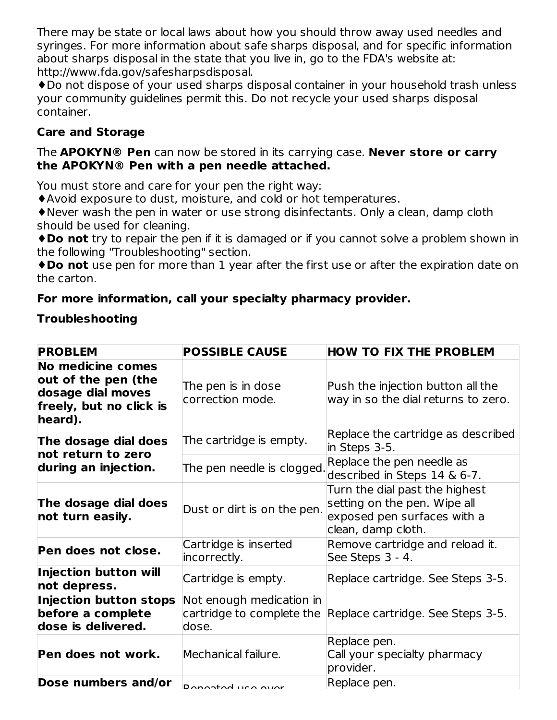There may be state or local laws about how you should throw away used needles and syringes. For more information about safe sharps disposal, and for specific information about sharps disposal in the state that you live in, go to the FDA's website at: http://www.fda.gov/safesharpsdisposal.

♦Do not dispose of your used sharps disposal container in your household trash unless your community guidelines permit this. Do not recycle your used sharps disposal container.

### **Care and Storage**

#### The **APOKYN® Pen** can now be stored in its carrying case. **Never store or carry the APOKYN® Pen with a pen needle attached.**

You must store and care for your pen the right way:

♦Avoid exposure to dust, moisture, and cold or hot temperatures.

♦Never wash the pen in water or use strong disinfectants. Only a clean, damp cloth should be used for cleaning.

♦**Do not** try to repair the pen if it is damaged or if you cannot solve a problem shown in the following "Troubleshooting" section.

♦**Do not** use pen for more than 1 year after the first use or after the expiration date on the carton.

### **For more information, call your specialty pharmacy provider.**

### **Troubleshooting**

| <b>PROBLEM</b>                                                                                      | <b>POSSIBLE CAUSE</b>                                          | <b>HOW TO FIX THE PROBLEM</b>                                                                                       |
|-----------------------------------------------------------------------------------------------------|----------------------------------------------------------------|---------------------------------------------------------------------------------------------------------------------|
| No medicine comes<br>out of the pen (the<br>dosage dial moves<br>freely, but no click is<br>heard). | The pen is in dose<br>correction mode.                         | Push the injection button all the<br>way in so the dial returns to zero.                                            |
| The dosage dial does<br>not return to zero                                                          | The cartridge is empty.                                        | Replace the cartridge as described<br>in Steps 3-5.                                                                 |
| during an injection.                                                                                | The pen needle is clogged.                                     | Replace the pen needle as<br>described in Steps 14 & 6-7.                                                           |
| The dosage dial does<br>not turn easily.                                                            | Dust or dirt is on the pen.                                    | Turn the dial past the highest<br>setting on the pen. Wipe all<br>exposed pen surfaces with a<br>clean, damp cloth. |
| Pen does not close.                                                                                 | Cartridge is inserted<br>incorrectly.                          | Remove cartridge and reload it.<br>See Steps 3 - 4.                                                                 |
| <b>Injection button will</b><br>not depress.                                                        | Cartridge is empty.                                            | Replace cartridge. See Steps 3-5.                                                                                   |
| <b>Injection button stops</b><br>before a complete<br>dose is delivered.                            | Not enough medication in<br>cartridge to complete the<br>dose. | Replace cartridge. See Steps 3-5.                                                                                   |
| Pen does not work.                                                                                  | Mechanical failure.                                            | Replace pen.<br>Call your specialty pharmacy<br>provider.                                                           |
| Dose numbers and/or                                                                                 | <b>Penested LICA OVAR</b>                                      | Replace pen.                                                                                                        |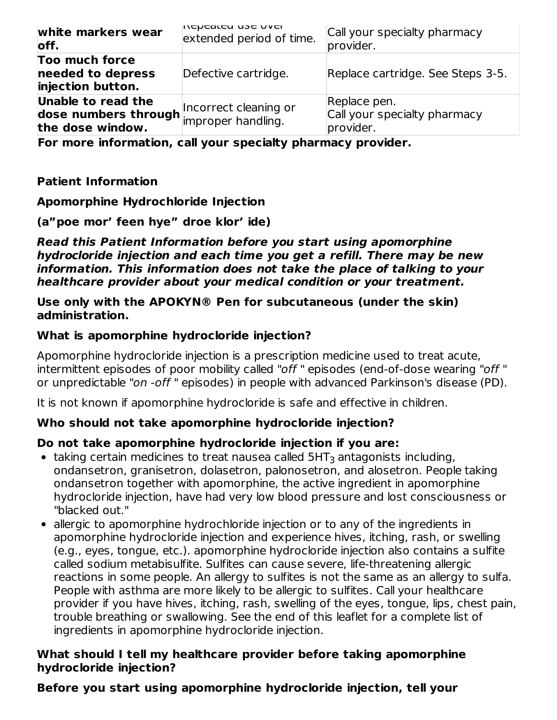| white markers wear<br>off.                                                                              | וחכµכמוכח חאב חגבו<br>extended period of time. | Call your specialty pharmacy<br>provider.                 |
|---------------------------------------------------------------------------------------------------------|------------------------------------------------|-----------------------------------------------------------|
| Too much force<br>needed to depress<br>injection button.                                                | Defective cartridge.                           | Replace cartridge. See Steps 3-5.                         |
| Unable to read the<br>dose numbers through incorrect cleaning or<br>the dese window<br>the dose window. |                                                | Replace pen.<br>Call your specialty pharmacy<br>provider. |

**For more information, call your specialty pharmacy provider.**

### **Patient Information**

#### **Apomorphine Hydrochloride Injection**

#### **(a"poe mor' feen hye" droe klor' ide)**

#### **Read this Patient Information before you start using apomorphine hydrocloride injection and each time you get a refill. There may be new information. This information does not take the place of talking to your healthcare provider about your medical condition or your treatment.**

#### **Use only with the APOKYN® Pen for subcutaneous (under the skin) administration.**

#### **What is apomorphine hydrocloride injection?**

Apomorphine hydrocloride injection is a prescription medicine used to treat acute, intermittent episodes of poor mobility called "off " episodes (end-of-dose wearing "off " or unpredictable "on -off " episodes) in people with advanced Parkinson's disease (PD).

It is not known if apomorphine hydrocloride is safe and effective in children.

#### **Who should not take apomorphine hydrocloride injection?**

#### **Do not take apomorphine hydrocloride injection if you are:**

- taking certain medicines to treat nausea called 5HT $_3$  antagonists including, ondansetron, granisetron, dolasetron, palonosetron, and alosetron. People taking ondansetron together with apomorphine, the active ingredient in apomorphine hydrocloride injection, have had very low blood pressure and lost consciousness or "blacked out."
- allergic to apomorphine hydrochloride injection or to any of the ingredients in apomorphine hydrocloride injection and experience hives, itching, rash, or swelling (e.g., eyes, tongue, etc.). apomorphine hydrocloride injection also contains a sulfite called sodium metabisulfite. Sulfites can cause severe, life-threatening allergic reactions in some people. An allergy to sulfites is not the same as an allergy to sulfa. People with asthma are more likely to be allergic to sulfites. Call your healthcare provider if you have hives, itching, rash, swelling of the eyes, tongue, lips, chest pain, trouble breathing or swallowing. See the end of this leaflet for a complete list of ingredients in apomorphine hydrocloride injection.

#### **What should I tell my healthcare provider before taking apomorphine hydrocloride injection?**

#### **Before you start using apomorphine hydrocloride injection, tell your**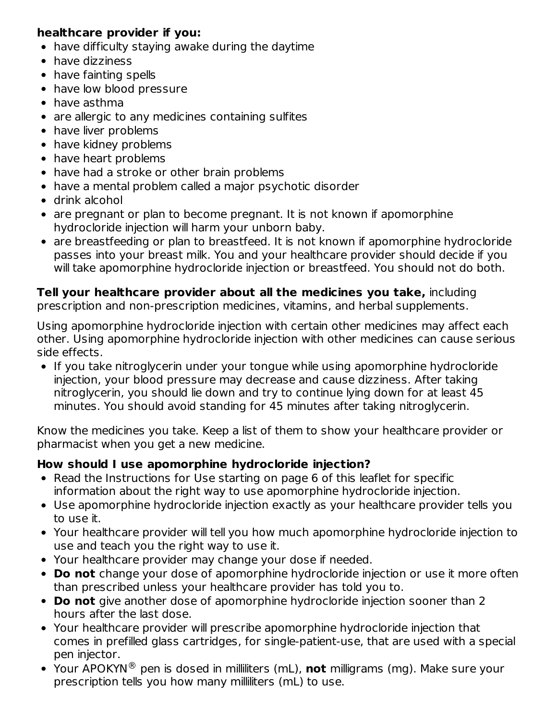### **healthcare provider if you:**

- have difficulty staying awake during the daytime
- have dizziness
- have fainting spells
- have low blood pressure
- have asthma
- are allergic to any medicines containing sulfites
- have liver problems
- have kidney problems
- have heart problems
- have had a stroke or other brain problems
- have a mental problem called a major psychotic disorder
- drink alcohol
- are pregnant or plan to become pregnant. It is not known if apomorphine hydrocloride injection will harm your unborn baby.
- are breastfeeding or plan to breastfeed. It is not known if apomorphine hydrocloride passes into your breast milk. You and your healthcare provider should decide if you will take apomorphine hydrocloride injection or breastfeed. You should not do both.

### **Tell your healthcare provider about all the medicines you take,** including

prescription and non-prescription medicines, vitamins, and herbal supplements.

Using apomorphine hydrocloride injection with certain other medicines may affect each other. Using apomorphine hydrocloride injection with other medicines can cause serious side effects.

• If you take nitroglycerin under your tongue while using apomorphine hydrocloride injection, your blood pressure may decrease and cause dizziness. After taking nitroglycerin, you should lie down and try to continue lying down for at least 45 minutes. You should avoid standing for 45 minutes after taking nitroglycerin.

Know the medicines you take. Keep a list of them to show your healthcare provider or pharmacist when you get a new medicine.

### **How should I use apomorphine hydrocloride injection?**

- Read the Instructions for Use starting on page 6 of this leaflet for specific information about the right way to use apomorphine hydrocloride injection.
- Use apomorphine hydrocloride injection exactly as your healthcare provider tells you to use it.
- Your healthcare provider will tell you how much apomorphine hydrocloride injection to use and teach you the right way to use it.
- Your healthcare provider may change your dose if needed.
- **Do not** change your dose of apomorphine hydrocloride injection or use it more often than prescribed unless your healthcare provider has told you to.
- **Do not** give another dose of apomorphine hydrocloride injection sooner than 2 hours after the last dose.
- Your healthcare provider will prescribe apomorphine hydrocloride injection that comes in prefilled glass cartridges, for single-patient-use, that are used with a special pen injector.
- Your APOKYN® pen is dosed in milliliters (mL), **not** milligrams (mg). Make sure your prescription tells you how many milliliters (mL) to use.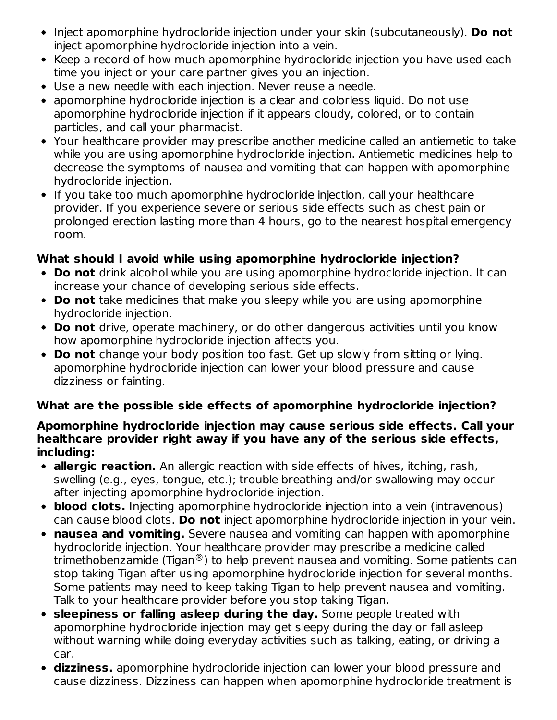- Inject apomorphine hydrocloride injection under your skin (subcutaneously). **Do not** inject apomorphine hydrocloride injection into a vein.
- Keep a record of how much apomorphine hydrocloride injection you have used each time you inject or your care partner gives you an injection.
- Use a new needle with each injection. Never reuse a needle.
- apomorphine hydrocloride injection is a clear and colorless liquid. Do not use apomorphine hydrocloride injection if it appears cloudy, colored, or to contain particles, and call your pharmacist.
- Your healthcare provider may prescribe another medicine called an antiemetic to take while you are using apomorphine hydrocloride injection. Antiemetic medicines help to decrease the symptoms of nausea and vomiting that can happen with apomorphine hydrocloride injection.
- If you take too much apomorphine hydrocloride injection, call your healthcare provider. If you experience severe or serious side effects such as chest pain or prolonged erection lasting more than 4 hours, go to the nearest hospital emergency room.

### **What should I avoid while using apomorphine hydrocloride injection?**

- **Do not** drink alcohol while you are using apomorphine hydrocloride injection. It can increase your chance of developing serious side effects.
- **Do not** take medicines that make you sleepy while you are using apomorphine hydrocloride injection.
- **Do not** drive, operate machinery, or do other dangerous activities until you know how apomorphine hydrocloride injection affects you.
- **Do not** change your body position too fast. Get up slowly from sitting or lying. apomorphine hydrocloride injection can lower your blood pressure and cause dizziness or fainting.

### **What are the possible side effects of apomorphine hydrocloride injection?**

#### **Apomorphine hydrocloride injection may cause serious side effects. Call your healthcare provider right away if you have any of the serious side effects, including:**

- **allergic reaction.** An allergic reaction with side effects of hives, itching, rash, swelling (e.g., eyes, tongue, etc.); trouble breathing and/or swallowing may occur after injecting apomorphine hydrocloride injection.
- **blood clots.** Injecting apomorphine hydrocloride injection into a vein (intravenous) can cause blood clots. **Do not** inject apomorphine hydrocloride injection in your vein.
- **nausea and vomiting.** Severe nausea and vomiting can happen with apomorphine hydrocloride injection. Your healthcare provider may prescribe a medicine called trimethobenzamide (Tigan $^{\circledR}$ ) to help prevent nausea and vomiting. Some patients can stop taking Tigan after using apomorphine hydrocloride injection for several months. Some patients may need to keep taking Tigan to help prevent nausea and vomiting. Talk to your healthcare provider before you stop taking Tigan.
- **sleepiness or falling asleep during the day.** Some people treated with apomorphine hydrocloride injection may get sleepy during the day or fall asleep without warning while doing everyday activities such as talking, eating, or driving a car.
- **dizziness.** apomorphine hydrocloride injection can lower your blood pressure and cause dizziness. Dizziness can happen when apomorphine hydrocloride treatment is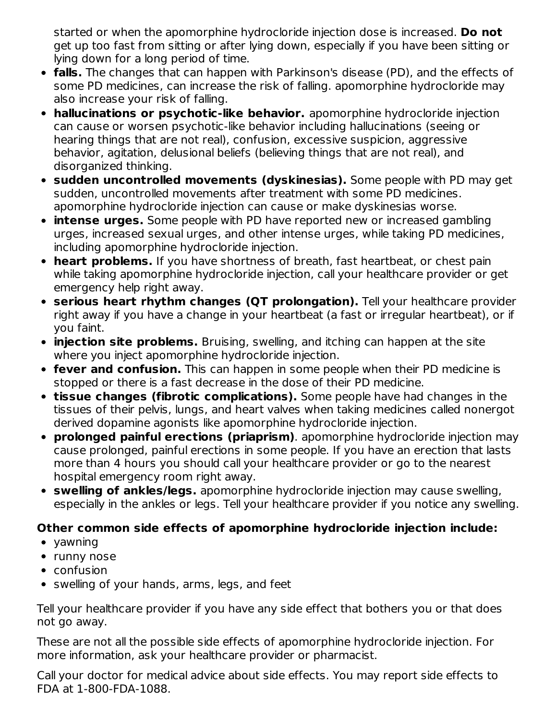started or when the apomorphine hydrocloride injection dose is increased. **Do not** get up too fast from sitting or after lying down, especially if you have been sitting or lying down for a long period of time.

- **falls.** The changes that can happen with Parkinson's disease (PD), and the effects of some PD medicines, can increase the risk of falling. apomorphine hydrocloride may also increase your risk of falling.
- **hallucinations or psychotic-like behavior.** apomorphine hydrocloride injection can cause or worsen psychotic-like behavior including hallucinations (seeing or hearing things that are not real), confusion, excessive suspicion, aggressive behavior, agitation, delusional beliefs (believing things that are not real), and disorganized thinking.
- **sudden uncontrolled movements (dyskinesias).** Some people with PD may get sudden, uncontrolled movements after treatment with some PD medicines. apomorphine hydrocloride injection can cause or make dyskinesias worse.
- **intense urges.** Some people with PD have reported new or increased gambling urges, increased sexual urges, and other intense urges, while taking PD medicines, including apomorphine hydrocloride injection.
- **heart problems.** If you have shortness of breath, fast heartbeat, or chest pain while taking apomorphine hydrocloride injection, call your healthcare provider or get emergency help right away.
- **serious heart rhythm changes (QT prolongation).** Tell your healthcare provider right away if you have a change in your heartbeat (a fast or irregular heartbeat), or if you faint.
- **injection site problems.** Bruising, swelling, and itching can happen at the site where you inject apomorphine hydrocloride injection.
- **fever and confusion.** This can happen in some people when their PD medicine is stopped or there is a fast decrease in the dose of their PD medicine.
- **tissue changes (fibrotic complications).** Some people have had changes in the tissues of their pelvis, lungs, and heart valves when taking medicines called nonergot derived dopamine agonists like apomorphine hydrocloride injection.
- **prolonged painful erections (priaprism)**. apomorphine hydrocloride injection may cause prolonged, painful erections in some people. If you have an erection that lasts more than 4 hours you should call your healthcare provider or go to the nearest hospital emergency room right away.
- **swelling of ankles/legs.** apomorphine hydrocloride injection may cause swelling, especially in the ankles or legs. Tell your healthcare provider if you notice any swelling.

# **Other common side effects of apomorphine hydrocloride injection include:**

- yawning
- runny nose
- confusion
- swelling of your hands, arms, legs, and feet

Tell your healthcare provider if you have any side effect that bothers you or that does not go away.

These are not all the possible side effects of apomorphine hydrocloride injection. For more information, ask your healthcare provider or pharmacist.

Call your doctor for medical advice about side effects. You may report side effects to FDA at 1-800-FDA-1088.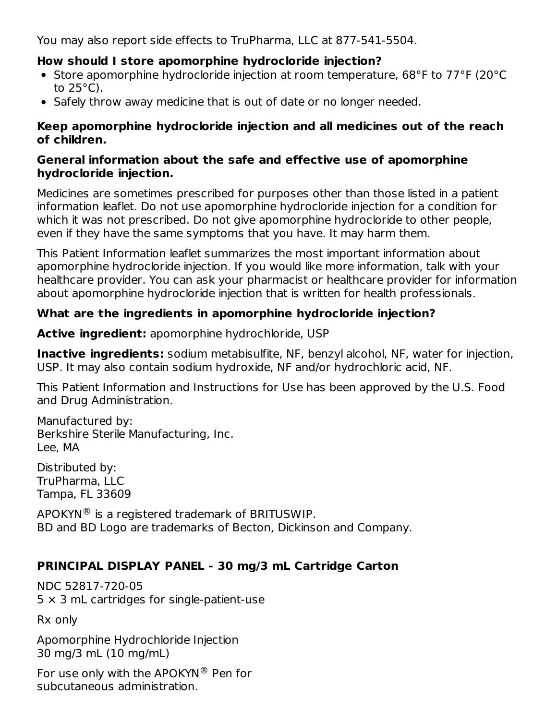You may also report side effects to TruPharma, LLC at 877-541-5504.

### **How should I store apomorphine hydrocloride injection?**

- Store apomorphine hydrocloride injection at room temperature, 68°F to 77°F (20°C to 25°C).
- Safely throw away medicine that is out of date or no longer needed.

### **Keep apomorphine hydrocloride injection and all medicines out of the reach of children.**

### **General information about the safe and effective use of apomorphine hydrocloride injection.**

Medicines are sometimes prescribed for purposes other than those listed in a patient information leaflet. Do not use apomorphine hydrocloride injection for a condition for which it was not prescribed. Do not give apomorphine hydrocloride to other people, even if they have the same symptoms that you have. It may harm them.

This Patient Information leaflet summarizes the most important information about apomorphine hydrocloride injection. If you would like more information, talk with your healthcare provider. You can ask your pharmacist or healthcare provider for information about apomorphine hydrocloride injection that is written for health professionals.

# **What are the ingredients in apomorphine hydrocloride injection?**

**Active ingredient:** apomorphine hydrochloride, USP

**Inactive ingredients:** sodium metabisulfite, NF, benzyl alcohol, NF, water for injection, USP. It may also contain sodium hydroxide, NF and/or hydrochloric acid, NF.

This Patient Information and Instructions for Use has been approved by the U.S. Food and Drug Administration.

Manufactured by: Berkshire Sterile Manufacturing, Inc. Lee, MA

Distributed by: TruPharma, LLC Tampa, FL 33609

 $\mathsf{APOKYN}$  is a registered trademark of BRITUSWIP. BD and BD Logo are trademarks of Becton, Dickinson and Company.

# **PRINCIPAL DISPLAY PANEL - 30 mg/3 mL Cartridge Carton**

NDC 52817-720-05  $5 \times 3$  mL cartridges for single-patient-use

Rx only

Apomorphine Hydrochloride Injection 30 mg/3 mL (10 mg/mL)

For use only with the APOKYN $^{\circledR}$  Pen for subcutaneous administration.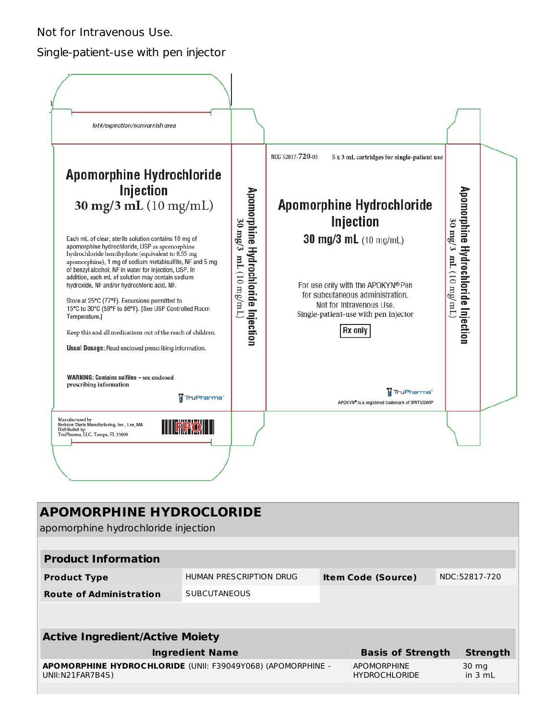Not for Intravenous Use.

#### Single-patient-use with pen injector



| <b>APOMORPHINE HYDROCLORIDE</b><br>apomorphine hydrochloride injection          |                         |  |                                            |  |                    |  |
|---------------------------------------------------------------------------------|-------------------------|--|--------------------------------------------|--|--------------------|--|
|                                                                                 |                         |  |                                            |  |                    |  |
| <b>Product Information</b>                                                      |                         |  |                                            |  |                    |  |
| <b>Product Type</b>                                                             | HUMAN PRESCRIPTION DRUG |  | <b>Item Code (Source)</b>                  |  | NDC:52817-720      |  |
| <b>Route of Administration</b>                                                  | <b>SUBCUTANEOUS</b>     |  |                                            |  |                    |  |
|                                                                                 |                         |  |                                            |  |                    |  |
|                                                                                 |                         |  |                                            |  |                    |  |
| <b>Active Ingredient/Active Moiety</b>                                          |                         |  |                                            |  |                    |  |
| <b>Ingredient Name</b><br><b>Basis of Strength</b><br><b>Strength</b>           |                         |  |                                            |  |                    |  |
| APOMORPHINE HYDROCHLORIDE (UNII: F39049Y068) (APOMORPHINE -<br>UNII:N21FAR7B4S) |                         |  | <b>APOMORPHINE</b><br><b>HYDROCHLORIDE</b> |  | 30 mg<br>in $3 mL$ |  |
|                                                                                 |                         |  |                                            |  |                    |  |